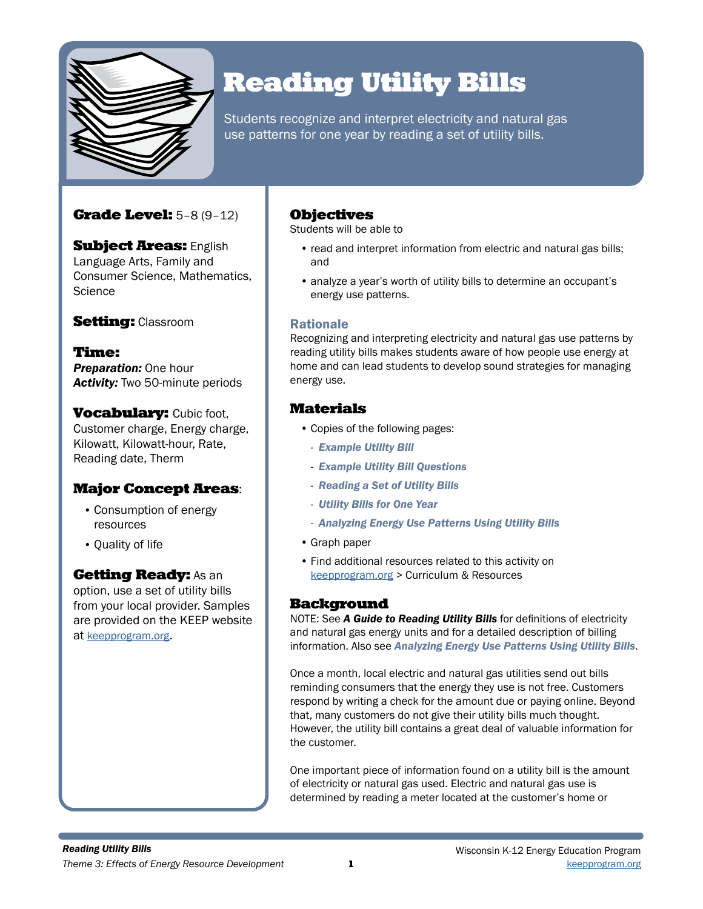

# Reading Utility Bills

Students recognize and interpret electricity and natural gas use patterns for one year by reading a set of utility bills.

## **Grade Level:** 5-8 (9-12)

**Subject Areas: English** Language Arts, Family and Consumer Science, Mathematics, **Science** 

## **Setting: Classroom**

Time: *Preparation:* One hour *Activity:* Two 50-minute periods

**Vocabulary: Cubic foot,** Customer charge, Energy charge, Kilowatt, Kilowatt-hour, Rate, Reading date, Therm

## Major Concept Areas:

- Consumption of energy resources
- Quality of life

### **Getting Ready: As an**

option, use a set of utility bills from your local provider. Samples are provided on the KEEP website at [keepprogram.org.](http://keepprogram.org)

### **Objectives**

Students will be able to

- read and interpret information from electric and natural gas bills; and
- analyze a year's worth of utility bills to determine an occupant's energy use patterns.

### Rationale

Recognizing and interpreting electricity and natural gas use patterns by reading utility bills makes students aware of how people use energy at home and can lead students to develop sound strategies for managing energy use.

## Materials

- Copies of the following pages:
	- *Example Utility Bill*
	- *Example Utility Bill Questions*
	- *Reading a Set of Utility Bills*
	- *Utility Bills for One Year*
	- *Analyzing Energy Use Patterns Using Utility Bills*
- Graph paper
- Find additional resources related to this activity on keepprogram.org > Curriculum & Resources

### Background

NOTE: See *A Guide to Reading Utility Bills* for definitions of electricity and natural gas energy units and for a detailed description of billing information. Also see *Analyzing Energy Use Patterns Using Utility Bills*.

Once a month, local electric and natural gas utilities send out bills reminding consumers that the energy they use is not free. Customers respond by writing a check for the amount due or paying online. Beyond that, many customers do not give their utility bills much thought. However, the utility bill contains a great deal of valuable information for the customer.

One important piece of information found on a utility bill is the amount of electricity or natural gas used. Electric and natural gas use is determined by reading a meter located at the customer's home or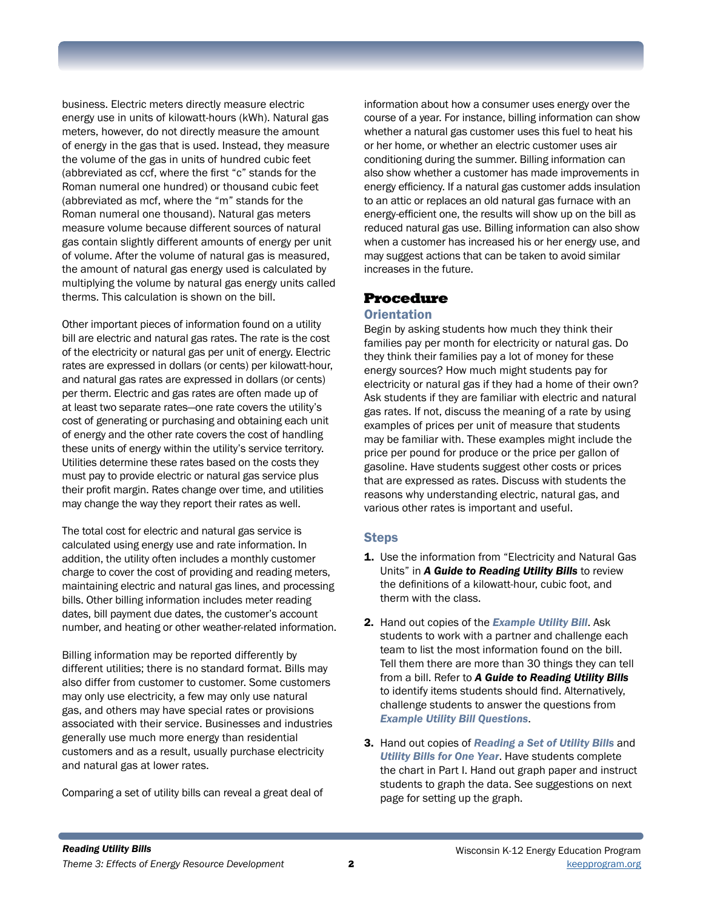business. Electric meters directly measure electric energy use in units of kilowatt-hours (kWh). Natural gas meters, however, do not directly measure the amount of energy in the gas that is used. Instead, they measure the volume of the gas in units of hundred cubic feet (abbreviated as ccf, where the first "c" stands for the Roman numeral one hundred) or thousand cubic feet (abbreviated as mcf, where the "m" stands for the Roman numeral one thousand). Natural gas meters measure volume because different sources of natural gas contain slightly different amounts of energy per unit of volume. After the volume of natural gas is measured, the amount of natural gas energy used is calculated by multiplying the volume by natural gas energy units called therms. This calculation is shown on the bill.

Other important pieces of information found on a utility bill are electric and natural gas rates. The rate is the cost of the electricity or natural gas per unit of energy. Electric rates are expressed in dollars (or cents) per kilowatt-hour, and natural gas rates are expressed in dollars (or cents) per therm. Electric and gas rates are often made up of at least two separate rates—one rate covers the utility's cost of generating or purchasing and obtaining each unit of energy and the other rate covers the cost of handling these units of energy within the utility's service territory. Utilities determine these rates based on the costs they must pay to provide electric or natural gas service plus their profit margin. Rates change over time, and utilities may change the way they report their rates as well.

The total cost for electric and natural gas service is calculated using energy use and rate information. In addition, the utility often includes a monthly customer charge to cover the cost of providing and reading meters, maintaining electric and natural gas lines, and processing bills. Other billing information includes meter reading dates, bill payment due dates, the customer's account number, and heating or other weather-related information.

Billing information may be reported differently by different utilities; there is no standard format. Bills may also differ from customer to customer. Some customers may only use electricity, a few may only use natural gas, and others may have special rates or provisions associated with their service. Businesses and industries generally use much more energy than residential customers and as a result, usually purchase electricity and natural gas at lower rates.

Comparing a set of utility bills can reveal a great deal of

information about how a consumer uses energy over the course of a year. For instance, billing information can show whether a natural gas customer uses this fuel to heat his or her home, or whether an electric customer uses air conditioning during the summer. Billing information can also show whether a customer has made improvements in energy efficiency. If a natural gas customer adds insulation to an attic or replaces an old natural gas furnace with an energy-efficient one, the results will show up on the bill as reduced natural gas use. Billing information can also show when a customer has increased his or her energy use, and may suggest actions that can be taken to avoid similar increases in the future.

### Procedure

### **Orientation**

Begin by asking students how much they think their families pay per month for electricity or natural gas. Do they think their families pay a lot of money for these energy sources? How much might students pay for electricity or natural gas if they had a home of their own? Ask students if they are familiar with electric and natural gas rates. If not, discuss the meaning of a rate by using examples of prices per unit of measure that students may be familiar with. These examples might include the price per pound for produce or the price per gallon of gasoline. Have students suggest other costs or prices that are expressed as rates. Discuss with students the reasons why understanding electric, natural gas, and various other rates is important and useful.

### **Steps**

- 1. Use the information from "Electricity and Natural Gas Units" in *A Guide to Reading Utility Bills* to review the definitions of a kilowatt-hour, cubic foot, and therm with the class.
- 2. Hand out copies of the *Example Utility Bill*. Ask students to work with a partner and challenge each team to list the most information found on the bill. Tell them there are more than 30 things they can tell from a bill. Refer to *A Guide to Reading Utility Bills* to identify items students should find. Alternatively, challenge students to answer the questions from *Example Utility Bill Questions*.
- 3. Hand out copies of *Reading a Set of Utility Bills* and *Utility Bills for One Year*. Have students complete the chart in Part I. Hand out graph paper and instruct students to graph the data. See suggestions on next page for setting up the graph.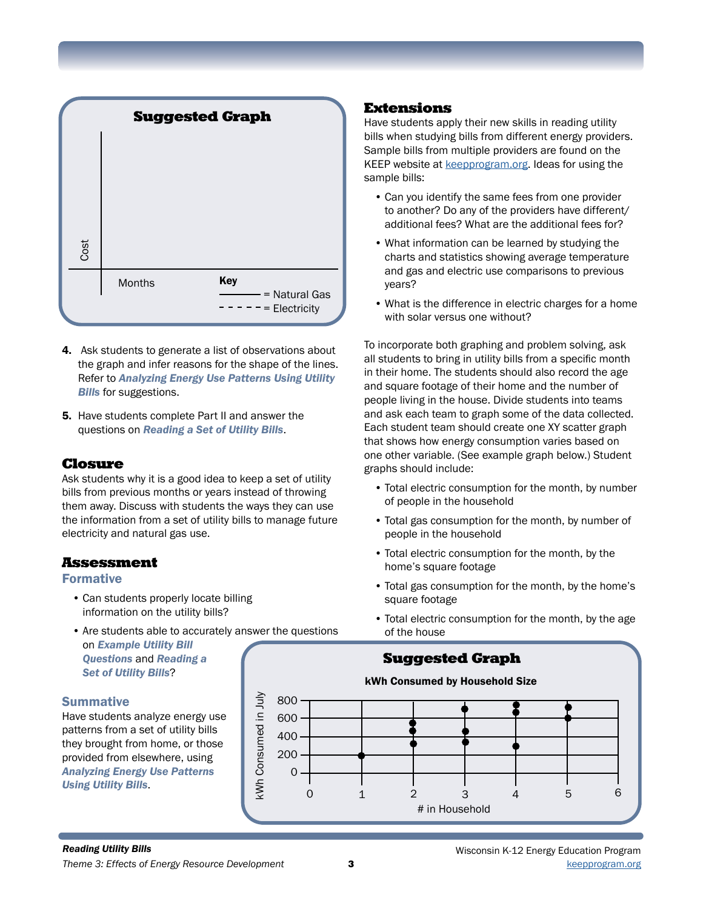

- 4. Ask students to generate a list of observations about the graph and infer reasons for the shape of the lines. Refer to *Analyzing Energy Use Patterns Using Utility Bills* for suggestions.
- 5. Have students complete Part II and answer the questions on *Reading a Set of Utility Bills*.

### Closure

Ask students why it is a good idea to keep a set of utility bills from previous months or years instead of throwing them away. Discuss with students the ways they can use the information from a set of utility bills to manage future electricity and natural gas use.

### Assessment

#### Formative

- Can students properly locate billing information on the utility bills?
- Are students able to accurately answer the questions on *Example Utility Bill Questions* and *Reading a Set of Utility Bills*?

### **Summative**

Have students analyze energy use patterns from a set of utility bills they brought from home, or those provided from elsewhere, using *Analyzing Energy Use Patterns Using Utility Bills*.

### Extensions

Have students apply their new skills in reading utility bills when studying bills from different energy providers. Sample bills from multiple providers are found on the [KEEP website](http://KEEPprogram.org) at [keepprogram.org.](http://keepprogram.org) Ideas for using the sample bills:

- Can you identify the same fees from one provider to another? Do any of the providers have different/ additional fees? What are the additional fees for?
- What information can be learned by studying the charts and statistics showing average temperature and gas and electric use comparisons to previous years?
- What is the difference in electric charges for a home with solar versus one without?

To incorporate both graphing and problem solving, ask all students to bring in utility bills from a specific month in their home. The students should also record the age and square footage of their home and the number of people living in the house. Divide students into teams and ask each team to graph some of the data collected. Each student team should create one XY scatter graph that shows how energy consumption varies based on one other variable. (See example graph below.) Student graphs should include:

- Total electric consumption for the month, by number of people in the household
- Total gas consumption for the month, by number of people in the household
- Total electric consumption for the month, by the home's square footage
- Total gas consumption for the month, by the home's square footage
- Total electric consumption for the month, by the age of the house

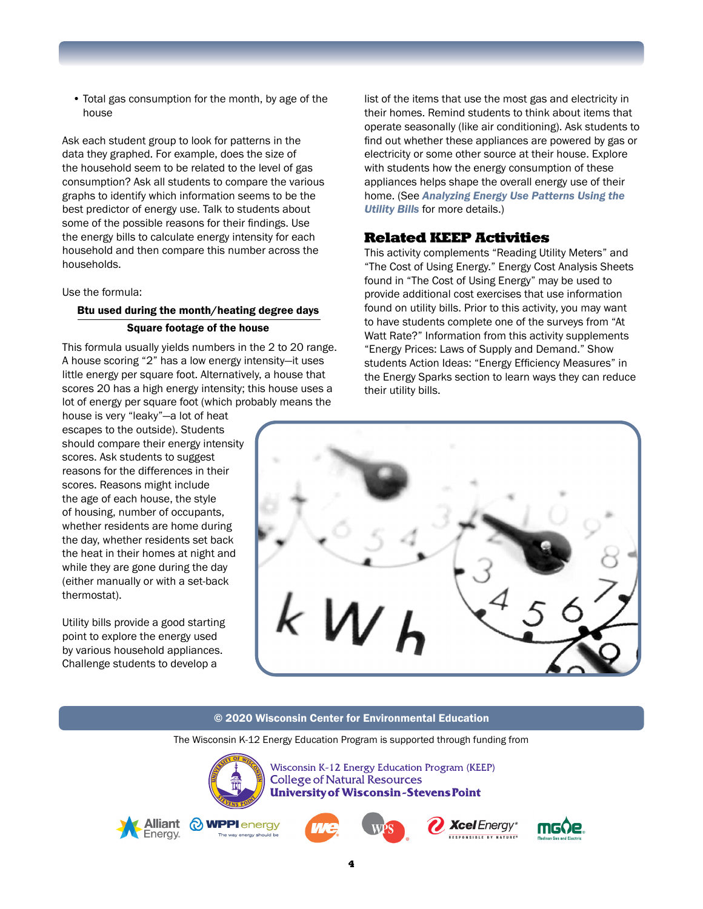• Total gas consumption for the month, by age of the house

Ask each student group to look for patterns in the data they graphed. For example, does the size of the household seem to be related to the level of gas consumption? Ask all students to compare the various graphs to identify which information seems to be the best predictor of energy use. Talk to students about some of the possible reasons for their findings. Use the energy bills to calculate energy intensity for each household and then compare this number across the households.

Use the formula:

### Btu used during the month/heating degree days Square footage of the house

This formula usually yields numbers in the 2 to 20 range. A house scoring "2" has a low energy intensity—it uses little energy per square foot. Alternatively, a house that scores 20 has a high energy intensity; this house uses a lot of energy per square foot (which probably means the

house is very "leaky"—a lot of heat escapes to the outside). Students should compare their energy intensity scores. Ask students to suggest reasons for the differences in their scores. Reasons might include the age of each house, the style of housing, number of occupants, whether residents are home during the day, whether residents set back the heat in their homes at night and while they are gone during the day (either manually or with a set-back thermostat).

Utility bills provide a good starting point to explore the energy used by various household appliances. Challenge students to develop a

list of the items that use the most gas and electricity in their homes. Remind students to think about items that operate seasonally (like air conditioning). Ask students to find out whether these appliances are powered by gas or electricity or some other source at their house. Explore with students how the energy consumption of these appliances helps shape the overall energy use of their home. (See *Analyzing Energy Use Patterns Using the Utility Bills* for more details.)

### Related KEEP Activities

This activity complements "Reading Utility Meters" and "The Cost of Using Energy." Energy Cost Analysis Sheets found in "The Cost of Using Energy" may be used to provide additional cost exercises that use information found on utility bills. Prior to this activity, you may want to have students complete one of the surveys from "At Watt Rate?" Information from this activity supplements "Energy Prices: Laws of Supply and Demand." Show students Action Ideas: "Energy Efficiency Measures" in the Energy Sparks section to learn ways they can reduce their utility bills.



#### © 2020 Wisconsin Center for Environmental Education

The Wisconsin K-12 Energy Education Program is supported through funding from



Wisconsin K-12 Energy Education Program (KEEP) **College of Natural Resources University of Wisconsin-Stevens Point** 









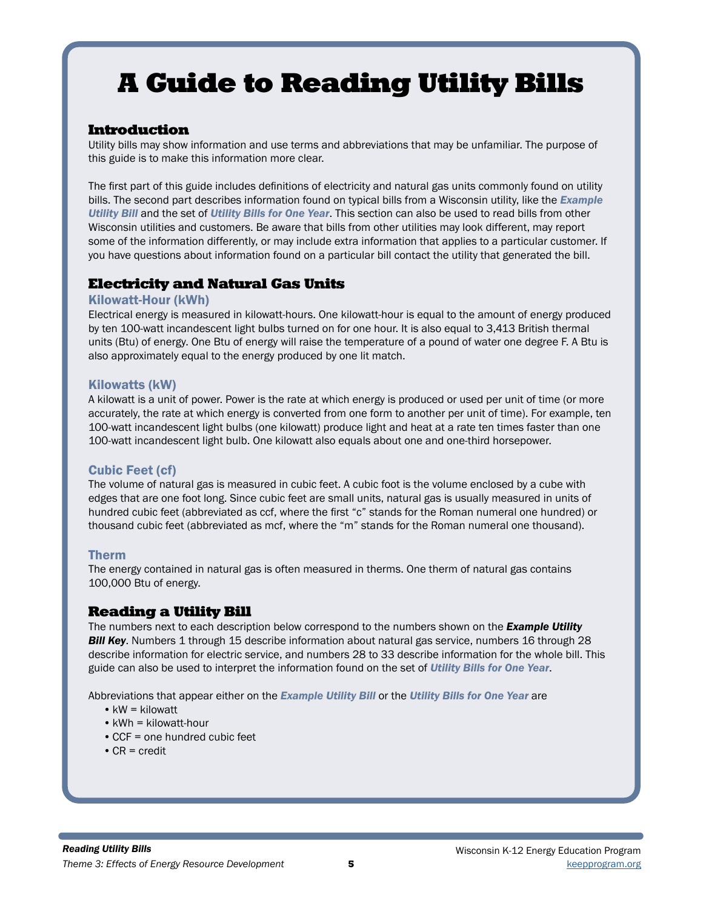# A Guide to Reading Utility Bills

### Introduction

Utility bills may show information and use terms and abbreviations that may be unfamiliar. The purpose of this guide is to make this information more clear.

The first part of this guide includes definitions of electricity and natural gas units commonly found on utility bills. The second part describes information found on typical bills from a Wisconsin utility, like the *Example Utility Bill* and the set of *Utility Bills for One Year*. This section can also be used to read bills from other Wisconsin utilities and customers. Be aware that bills from other utilities may look different, may report some of the information differently, or may include extra information that applies to a particular customer. If you have questions about information found on a particular bill contact the utility that generated the bill.

## Electricity and Natural Gas Units

#### Kilowatt-Hour (kWh)

Electrical energy is measured in kilowatt-hours. One kilowatt-hour is equal to the amount of energy produced by ten 100-watt incandescent light bulbs turned on for one hour. It is also equal to 3,413 British thermal units (Btu) of energy. One Btu of energy will raise the temperature of a pound of water one degree F. A Btu is also approximately equal to the energy produced by one lit match.

#### Kilowatts (kW)

A kilowatt is a unit of power. Power is the rate at which energy is produced or used per unit of time (or more accurately, the rate at which energy is converted from one form to another per unit of time). For example, ten 100-watt incandescent light bulbs (one kilowatt) produce light and heat at a rate ten times faster than one 100-watt incandescent light bulb. One kilowatt also equals about one and one-third horsepower.

### Cubic Feet (cf)

The volume of natural gas is measured in cubic feet. A cubic foot is the volume enclosed by a cube with edges that are one foot long. Since cubic feet are small units, natural gas is usually measured in units of hundred cubic feet (abbreviated as ccf, where the first "c" stands for the Roman numeral one hundred) or thousand cubic feet (abbreviated as mcf, where the "m" stands for the Roman numeral one thousand).

### Therm

The energy contained in natural gas is often measured in therms. One therm of natural gas contains 100,000 Btu of energy.

### Reading a Utility Bill

The numbers next to each description below correspond to the numbers shown on the *Example Utility*  **Bill Key**. Numbers 1 through 15 describe information about natural gas service, numbers 16 through 28 describe information for electric service, and numbers 28 to 33 describe information for the whole bill. This guide can also be used to interpret the information found on the set of *Utility Bills for One Year*.

Abbreviations that appear either on the *Example Utility Bill* or the *Utility Bills for One Year* are

- •kW = kilowatt
- kWh = kilowatt-hour
- •CCF = one hundred cubic feet
- •CR = credit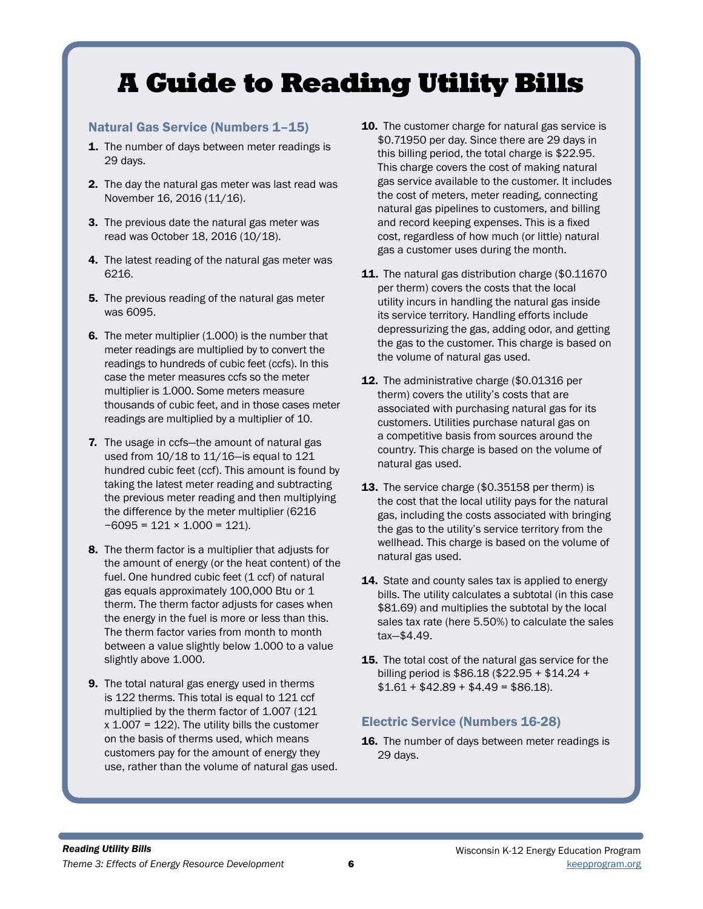# A Guide to Reading Utility Bills

### Natural Gas Service (Numbers 1–15)

- 1. The number of days between meter readings is 29 days.
- 2. The day the natural gas meter was last read was November 16, 2016 (11/16).
- 3. The previous date the natural gas meter was read was October 18, 2016 (10/18).
- 4. The latest reading of the natural gas meter was 6216.
- **5.** The previous reading of the natural gas meter was 6095.
- **6.** The meter multiplier (1.000) is the number that meter readings are multiplied by to convert the readings to hundreds of cubic feet (ccfs). In this case the meter measures ccfs so the meter multiplier is 1.000. Some meters measure thousands of cubic feet, and in those cases meter readings are multiplied by a multiplier of 10.
- 7. The usage in ccfs—the amount of natural gas used from 10/18 to 11/16—is equal to 121 hundred cubic feet (ccf). This amount is found by taking the latest meter reading and subtracting the previous meter reading and then multiplying the difference by the meter multiplier (6216  $-6095 = 121 \times 1.000 = 121$ .
- 8. The therm factor is a multiplier that adjusts for the amount of energy (or the heat content) of the fuel. One hundred cubic feet (1 ccf) of natural gas equals approximately 100,000 Btu or 1 therm. The therm factor adjusts for cases when the energy in the fuel is more or less than this. The therm factor varies from month to month between a value slightly below 1.000 to a value slightly above 1.000.
- 9. The total natural gas energy used in therms is 122 therms. This total is equal to 121 ccf multiplied by the therm factor of 1.007 (121  $x$  1.007 = 122). The utility bills the customer on the basis of therms used, which means customers pay for the amount of energy they use, rather than the volume of natural gas used.
- 10. The customer charge for natural gas service is \$0.71950 per day. Since there are 29 days in this billing period, the total charge is \$22.95. This charge covers the cost of making natural gas service available to the customer. It includes the cost of meters, meter reading, connecting natural gas pipelines to customers, and billing and record keeping expenses. This is a fixed cost, regardless of how much (or little) natural gas a customer uses during the month.
- 11. The natural gas distribution charge (\$0.11670) per therm) covers the costs that the local utility incurs in handling the natural gas inside its service territory. Handling efforts include depressurizing the gas, adding odor, and getting the gas to the customer. This charge is based on the volume of natural gas used.
- 12. The administrative charge (\$0.01316 per therm) covers the utility's costs that are associated with purchasing natural gas for its customers. Utilities purchase natural gas on a competitive basis from sources around the country. This charge is based on the volume of natural gas used.
- **13.** The service charge (\$0.35158 per therm) is the cost that the local utility pays for the natural gas, including the costs associated with bringing the gas to the utility's service territory from the wellhead. This charge is based on the volume of natural gas used.
- 14. State and county sales tax is applied to energy bills. The utility calculates a subtotal (in this case \$81.69) and multiplies the subtotal by the local sales tax rate (here 5.50%) to calculate the sales tax—\$4.49.
- **15.** The total cost of the natural gas service for the billing period is \$86.18 (\$22.95 + \$14.24 +  $$1.61 + $42.89 + $4.49 = $86.18$ .

## Electric Service (Numbers 16-28)

**16.** The number of days between meter readings is 29 days.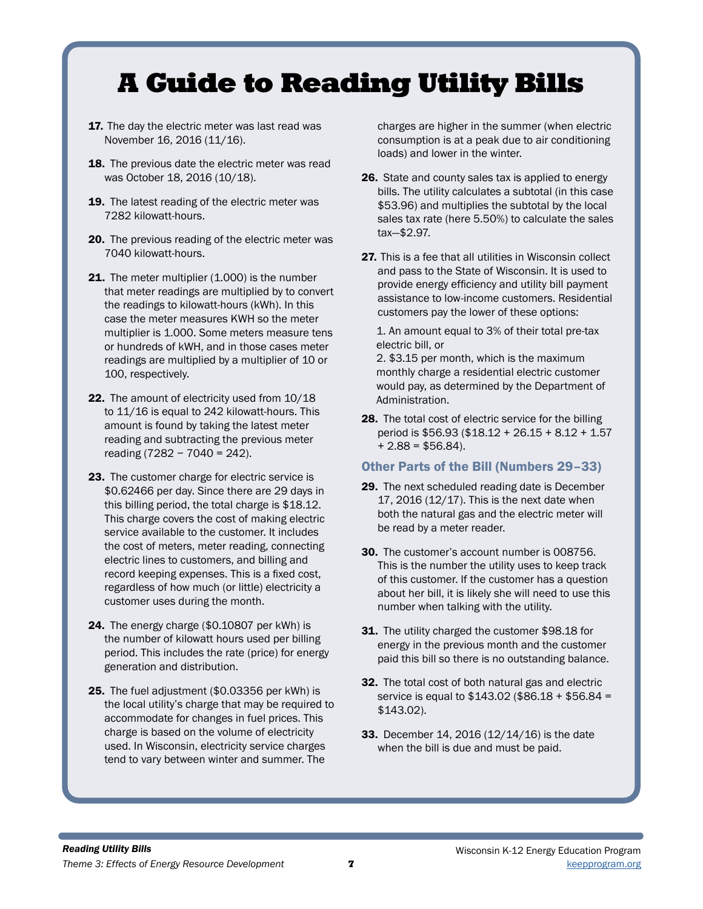## A Guide to Reading Utility Bills

- 17. The day the electric meter was last read was November 16, 2016 (11/16).
- 18. The previous date the electric meter was read was October 18, 2016 (10/18).
- 19. The latest reading of the electric meter was 7282 kilowatt-hours.
- 20. The previous reading of the electric meter was 7040 kilowatt-hours.
- 21. The meter multiplier (1.000) is the number that meter readings are multiplied by to convert the readings to kilowatt-hours (kWh). In this case the meter measures KWH so the meter multiplier is 1.000. Some meters measure tens or hundreds of kWH, and in those cases meter readings are multiplied by a multiplier of 10 or 100, respectively.
- 22. The amount of electricity used from  $10/18$ to 11/16 is equal to 242 kilowatt-hours. This amount is found by taking the latest meter reading and subtracting the previous meter reading (7282 − 7040 = 242).
- 23. The customer charge for electric service is \$0.62466 per day. Since there are 29 days in this billing period, the total charge is \$18.12. This charge covers the cost of making electric service available to the customer. It includes the cost of meters, meter reading, connecting electric lines to customers, and billing and record keeping expenses. This is a fixed cost, regardless of how much (or little) electricity a customer uses during the month.
- 24. The energy charge (\$0.10807 per kWh) is the number of kilowatt hours used per billing period. This includes the rate (price) for energy generation and distribution.
- 25. The fuel adjustment (\$0.03356 per kWh) is the local utility's charge that may be required to accommodate for changes in fuel prices. This charge is based on the volume of electricity used. In Wisconsin, electricity service charges tend to vary between winter and summer. The

charges are higher in the summer (when electric consumption is at a peak due to air conditioning loads) and lower in the winter.

- 26. State and county sales tax is applied to energy bills. The utility calculates a subtotal (in this case \$53.96) and multiplies the subtotal by the local sales tax rate (here 5.50%) to calculate the sales tax—\$2.97.
- 27. This is a fee that all utilities in Wisconsin collect and pass to the State of Wisconsin. It is used to provide energy efficiency and utility bill payment assistance to low-income customers. Residential customers pay the lower of these options:

1. An amount equal to 3% of their total pre-tax electric bill, or

2. \$3.15 per month, which is the maximum monthly charge a residential electric customer would pay, as determined by the Department of Administration.

28. The total cost of electric service for the billing period is \$56.93 (\$18.12 + 26.15 + 8.12 + 1.57  $+ 2.88 = $56.84$ ).

### Other Parts of the Bill (Numbers 29–33)

- 29. The next scheduled reading date is December 17, 2016 (12/17). This is the next date when both the natural gas and the electric meter will be read by a meter reader.
- 30. The customer's account number is 008756. This is the number the utility uses to keep track of this customer. If the customer has a question about her bill, it is likely she will need to use this number when talking with the utility.
- 31. The utility charged the customer \$98.18 for energy in the previous month and the customer paid this bill so there is no outstanding balance.
- 32. The total cost of both natural gas and electric service is equal to \$143.02 (\$86.18 + \$56.84 = \$143.02).
- **33.** December 14, 2016 (12/14/16) is the date when the bill is due and must be paid.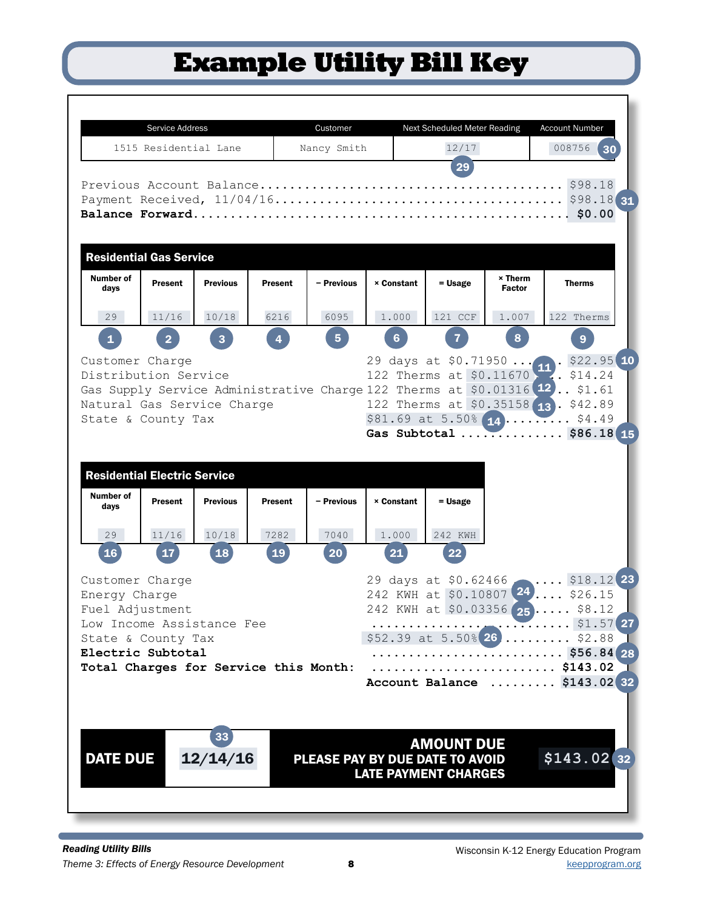## Example Utility Bill Key

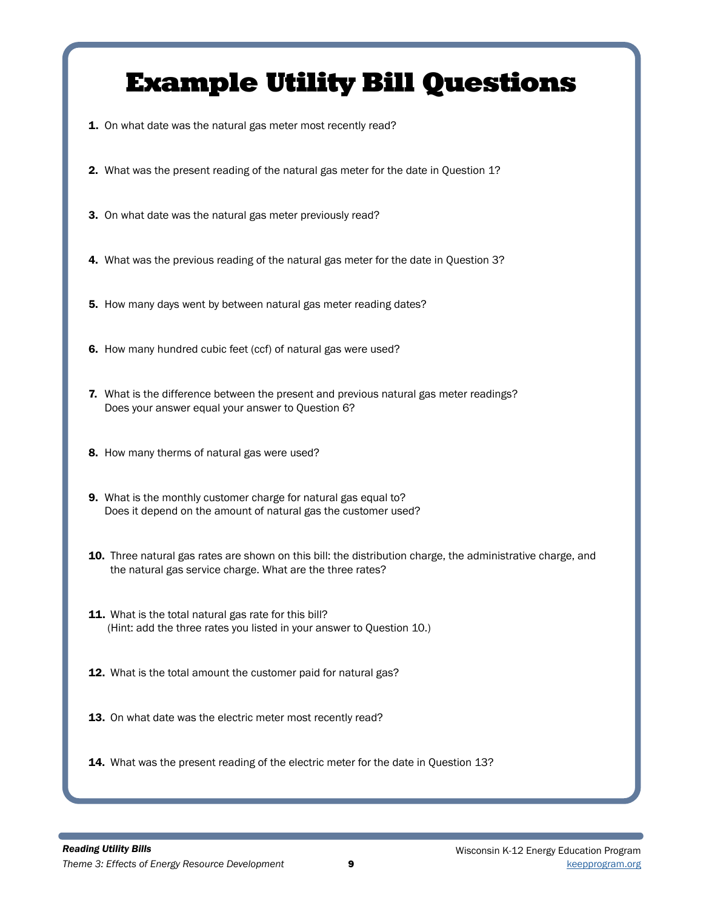## Example Utility Bill Questions

- 1. On what date was the natural gas meter most recently read?
- 2. What was the present reading of the natural gas meter for the date in Question 1?
- 3. On what date was the natural gas meter previously read?
- 4. What was the previous reading of the natural gas meter for the date in Question 3?
- 5. How many days went by between natural gas meter reading dates?
- 6. How many hundred cubic feet (ccf) of natural gas were used?
- **7.** What is the difference between the present and previous natural gas meter readings? Does your answer equal your answer to Question 6?
- 8. How many therms of natural gas were used?
- 9. What is the monthly customer charge for natural gas equal to? Does it depend on the amount of natural gas the customer used?
- 10. Three natural gas rates are shown on this bill: the distribution charge, the administrative charge, and the natural gas service charge. What are the three rates?
- 11. What is the total natural gas rate for this bill? (Hint: add the three rates you listed in your answer to Question 10.)
- 12. What is the total amount the customer paid for natural gas?
- 13. On what date was the electric meter most recently read?
- 14. What was the present reading of the electric meter for the date in Question 13?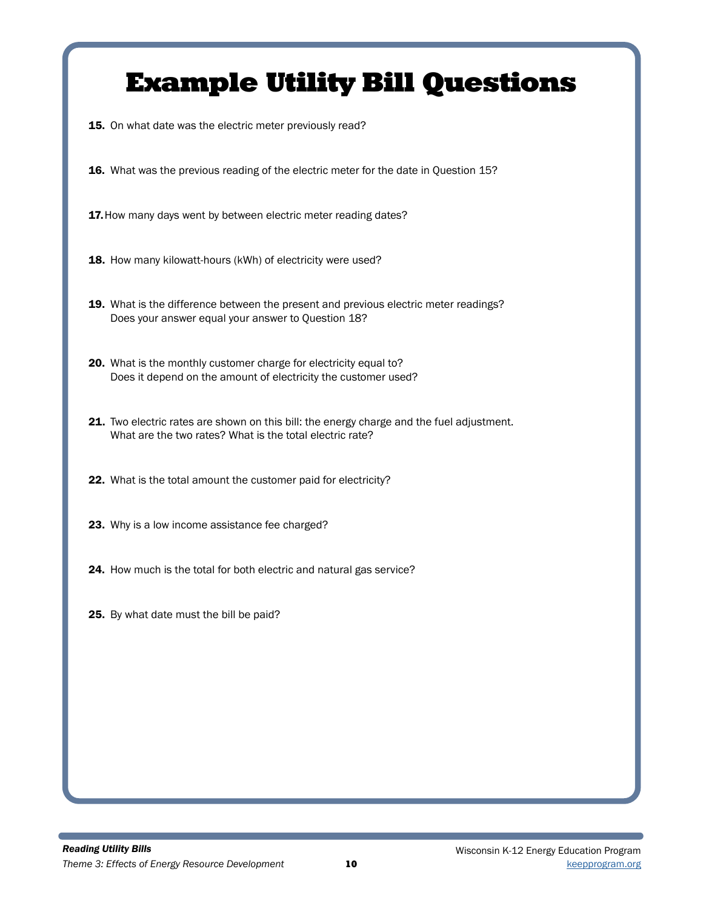## Example Utility Bill Questions

15. On what date was the electric meter previously read?

16. What was the previous reading of the electric meter for the date in Question 15?

17. How many days went by between electric meter reading dates?

18. How many kilowatt-hours (kWh) of electricity were used?

19. What is the difference between the present and previous electric meter readings? Does your answer equal your answer to Question 18?

20. What is the monthly customer charge for electricity equal to? Does it depend on the amount of electricity the customer used?

21. Two electric rates are shown on this bill: the energy charge and the fuel adjustment. What are the two rates? What is the total electric rate?

22. What is the total amount the customer paid for electricity?

23. Why is a low income assistance fee charged?

24. How much is the total for both electric and natural gas service?

25. By what date must the bill be paid?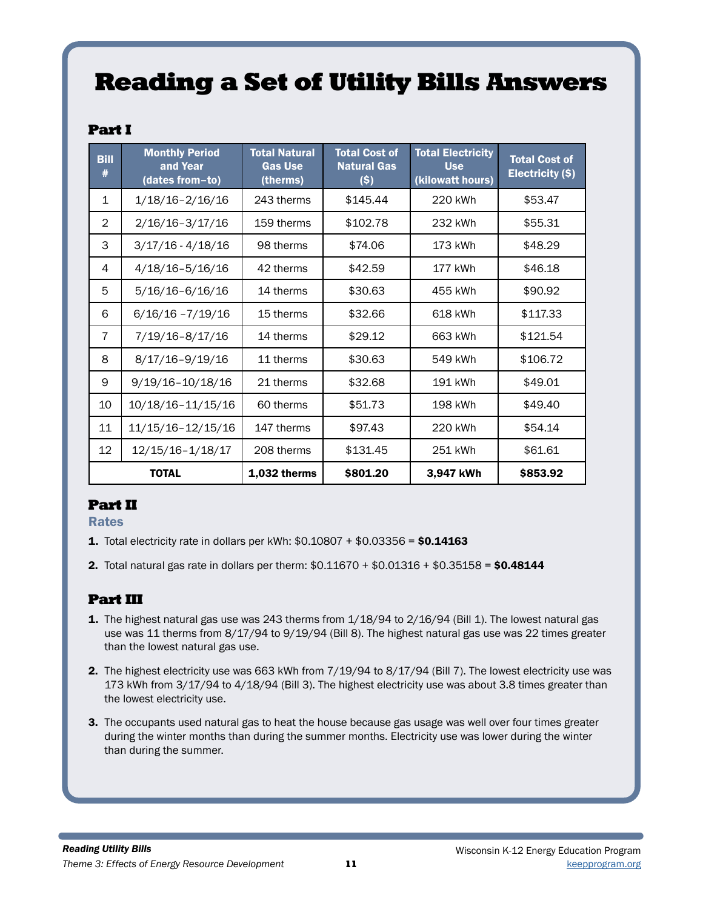## Reading a Set of Utility Bills Answers

## Part I

| <b>Bill</b><br># | <b>Monthly Period</b><br>and Year<br>(dates from-to) | <b>Total Natural</b><br><b>Gas Use</b><br>(therms) | <b>Total Cost of</b><br><b>Natural Gas</b><br>$($ \$) | <b>Total Electricity</b><br><b>Use</b><br>(kilowatt hours) | <b>Total Cost of</b><br>Electricity (\$) |
|------------------|------------------------------------------------------|----------------------------------------------------|-------------------------------------------------------|------------------------------------------------------------|------------------------------------------|
| $\mathbf 1$      | $1/18/16 - 2/16/16$                                  | 243 therms                                         | \$145.44                                              | 220 kWh                                                    | \$53.47                                  |
| $\overline{2}$   | $2/16/16 - 3/17/16$                                  | 159 therms                                         | \$102.78                                              | 232 kWh                                                    | \$55.31                                  |
| 3                | $3/17/16 - 4/18/16$                                  | 98 therms                                          | \$74.06                                               | 173 kWh                                                    | \$48.29                                  |
| 4                | $4/18/16 - 5/16/16$                                  | 42 therms                                          | \$42.59                                               | 177 kWh                                                    | \$46.18                                  |
| 5                | $5/16/16 - 6/16/16$                                  | 14 therms                                          | \$30.63                                               | 455 kWh                                                    | \$90.92                                  |
| 6                | $6/16/16 - 7/19/16$                                  | 15 therms                                          | \$32.66                                               | 618 kWh                                                    | \$117.33                                 |
| $\overline{7}$   | 7/19/16-8/17/16                                      | 14 therms                                          | \$29.12                                               | 663 kWh                                                    | \$121.54                                 |
| 8                | $8/17/16 - 9/19/16$                                  | 11 therms                                          | \$30.63                                               | 549 kWh                                                    | \$106.72                                 |
| 9                | $9/19/16 - 10/18/16$                                 | 21 therms                                          | \$32.68                                               | 191 kWh                                                    | \$49.01                                  |
| 10               | 10/18/16-11/15/16                                    | 60 therms                                          | \$51.73                                               | 198 kWh                                                    | \$49.40                                  |
| 11               | 11/15/16-12/15/16                                    | 147 therms                                         | \$97.43                                               | 220 kWh                                                    | \$54.14                                  |
| 12               | 12/15/16-1/18/17                                     | 208 therms                                         | \$131.45                                              | 251 kWh                                                    | \$61.61                                  |
|                  | <b>TOTAL</b>                                         | $1,032$ therms                                     | \$801.20                                              | 3,947 kWh                                                  | \$853.92                                 |

## Part II

Rates

- **1.** Total electricity rate in dollars per kWh:  $$0.10807 + $0.03356 = $0.14163$
- 2. Total natural gas rate in dollars per therm: \$0.11670 + \$0.01316 + \$0.35158 = \$0.48144

## Part III

- 1. The highest natural gas use was 243 therms from 1/18/94 to 2/16/94 (Bill 1). The lowest natural gas use was 11 therms from 8/17/94 to 9/19/94 (Bill 8). The highest natural gas use was 22 times greater than the lowest natural gas use.
- 2. The highest electricity use was 663 kWh from 7/19/94 to 8/17/94 (Bill 7). The lowest electricity use was 173 kWh from 3/17/94 to 4/18/94 (Bill 3). The highest electricity use was about 3.8 times greater than the lowest electricity use.
- 3. The occupants used natural gas to heat the house because gas usage was well over four times greater during the winter months than during the summer months. Electricity use was lower during the winter than during the summer.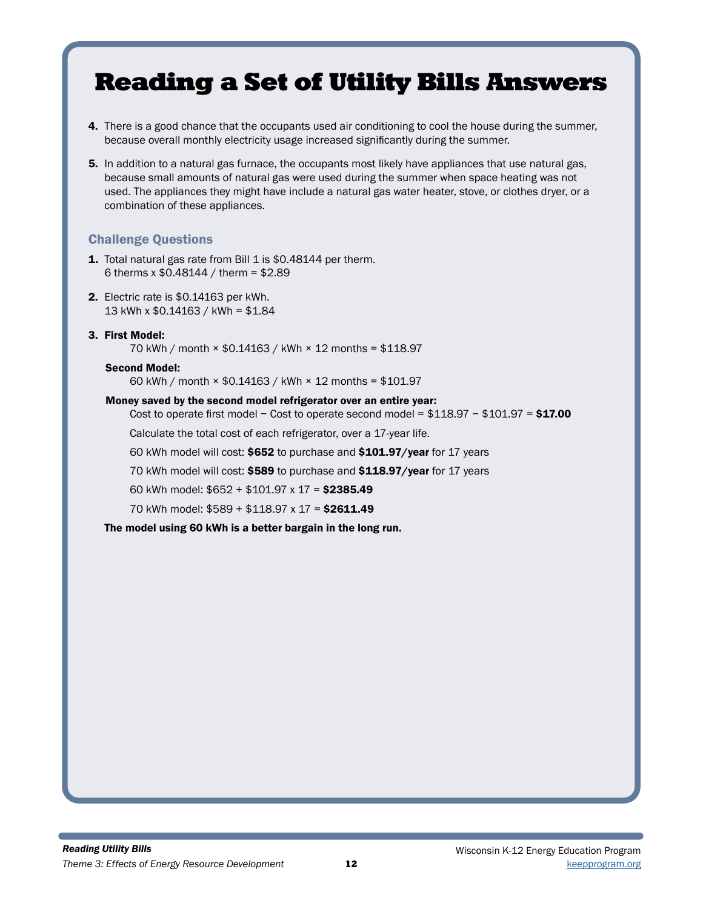## Reading a Set of Utility Bills Answers

- 4. There is a good chance that the occupants used air conditioning to cool the house during the summer, because overall monthly electricity usage increased significantly during the summer.
- 5. In addition to a natural gas furnace, the occupants most likely have appliances that use natural gas, because small amounts of natural gas were used during the summer when space heating was not used. The appliances they might have include a natural gas water heater, stove, or clothes dryer, or a combination of these appliances.

### Challenge Questions

- 1. Total natural gas rate from Bill 1 is \$0.48144 per therm. 6 therms x \$0.48144 / therm = \$2.89
- 2. Electric rate is \$0.14163 per kWh. 13 kWh x \$0.14163 / kWh = \$1.84
- 3. First Model: 70 kWh / month × \$0.14163 / kWh × 12 months = \$118.97

#### Second Model:

60 kWh / month × \$0.14163 / kWh × 12 months = \$101.97

#### Money saved by the second model refrigerator over an entire year:

Cost to operate first model – Cost to operate second model =  $$118.97 - $101.97 = $17.00$ 

Calculate the total cost of each refrigerator, over a 17-year life.

- 60 kWh model will cost: \$652 to purchase and \$101.97/year for 17 years
- 70 kWh model will cost: \$589 to purchase and \$118.97/year for 17 years
- 60 kWh model: \$652 + \$101.97 x 17 = \$2385.49
- 70 kWh model: \$589 + \$118.97 x 17 = \$2611.49

The model using 60 kWh is a better bargain in the long run.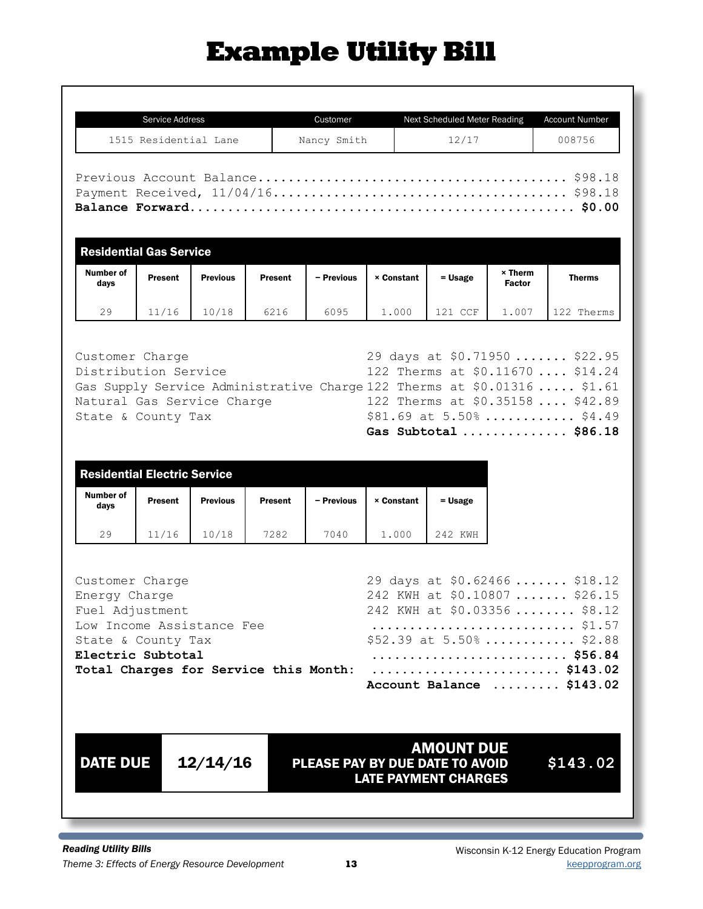# Example Utility Bill

|                   | Service Address                                                                                                              |                 |                | Customer    |                   | Next Scheduled Meter Reading |                                 | <b>Account Number</b>                                                                    |
|-------------------|------------------------------------------------------------------------------------------------------------------------------|-----------------|----------------|-------------|-------------------|------------------------------|---------------------------------|------------------------------------------------------------------------------------------|
|                   | 1515 Residential Lane                                                                                                        |                 |                | Nancy Smith |                   | 12/17                        |                                 | 008756                                                                                   |
|                   | <b>Residential Gas Service</b>                                                                                               |                 |                |             |                   |                              |                                 |                                                                                          |
| Number of<br>days | Present                                                                                                                      | <b>Previous</b> | <b>Present</b> | - Previous  | <b>× Constant</b> | $=$ Usage                    | $\times$ Therm<br><b>Factor</b> | <b>Therms</b>                                                                            |
| 29                | 11/16                                                                                                                        | 10/18           | 6216           | 6095        | 1,000             | 121 CCF                      | 1.007                           | 122 Therms                                                                               |
|                   | Gas Supply Service Administrative Charge 122 Therms at \$0.01316  \$1.61<br>Natural Gas Service Charge<br>State & County Tax |                 |                |             |                   |                              |                                 | 122 Therms at \$0.35158  \$42.89<br>$$81.69$ at $5.50\%$ \$4.49<br>Gas Subtotal  \$86.18 |
|                   | <b>Residential Electric Service</b><br><b>Present</b>                                                                        | <b>Previous</b> | <b>Present</b> | - Previous  | <b>× Constant</b> |                              |                                 |                                                                                          |
| days              |                                                                                                                              |                 |                |             |                   | $=$ Usage                    |                                 |                                                                                          |
| Number of<br>29   | 11/16                                                                                                                        | 10/18           | 7282           | 7040        | 1.000             | 242 KWH                      |                                 |                                                                                          |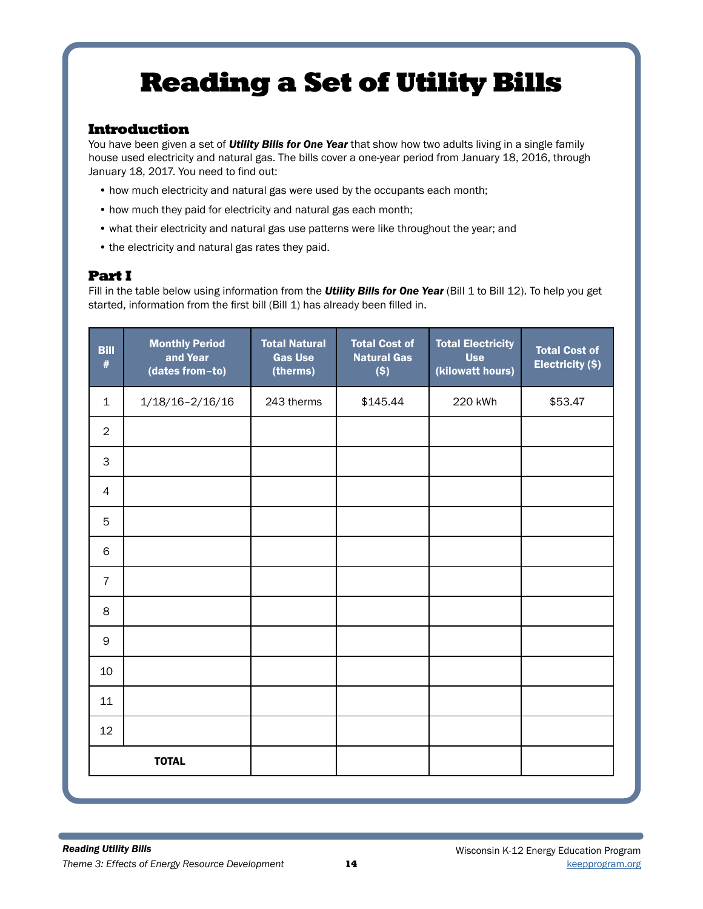# Reading a Set of Utility Bills

### Introduction

You have been given a set of *Utility Bills for One Year* that show how two adults living in a single family house used electricity and natural gas. The bills cover a one-year period from January 18, 2016, through January 18, 2017. You need to find out:

- how much electricity and natural gas were used by the occupants each month;
- how much they paid for electricity and natural gas each month;
- what their electricity and natural gas use patterns were like throughout the year; and
- the electricity and natural gas rates they paid.

## Part I

Fill in the table below using information from the **Utility Bills for One Year** (Bill 1 to Bill 12). To help you get started, information from the first bill (Bill 1) has already been filled in.

| <b>Bill</b><br>$\#$ | <b>Monthly Period</b><br>and Year<br>(dates from-to) | <b>Total Natural</b><br><b>Gas Use</b><br>(therms) | <b>Total Cost of</b><br><b>Natural Gas</b><br>$($ \$) | <b>Total Electricity</b><br><b>Use</b><br>(kilowatt hours) | <b>Total Cost of</b><br>Electricity (\$) |
|---------------------|------------------------------------------------------|----------------------------------------------------|-------------------------------------------------------|------------------------------------------------------------|------------------------------------------|
| $\mathbf{1}$        | $1/18/16 - 2/16/16$                                  | 243 therms                                         | \$145.44                                              | 220 kWh                                                    | \$53.47                                  |
| $\overline{2}$      |                                                      |                                                    |                                                       |                                                            |                                          |
| 3                   |                                                      |                                                    |                                                       |                                                            |                                          |
| 4                   |                                                      |                                                    |                                                       |                                                            |                                          |
| 5                   |                                                      |                                                    |                                                       |                                                            |                                          |
| 6                   |                                                      |                                                    |                                                       |                                                            |                                          |
| $\overline{7}$      |                                                      |                                                    |                                                       |                                                            |                                          |
| 8                   |                                                      |                                                    |                                                       |                                                            |                                          |
| 9                   |                                                      |                                                    |                                                       |                                                            |                                          |
| 10                  |                                                      |                                                    |                                                       |                                                            |                                          |
| 11                  |                                                      |                                                    |                                                       |                                                            |                                          |
| 12                  |                                                      |                                                    |                                                       |                                                            |                                          |
|                     | <b>TOTAL</b>                                         |                                                    |                                                       |                                                            |                                          |
|                     |                                                      |                                                    |                                                       |                                                            |                                          |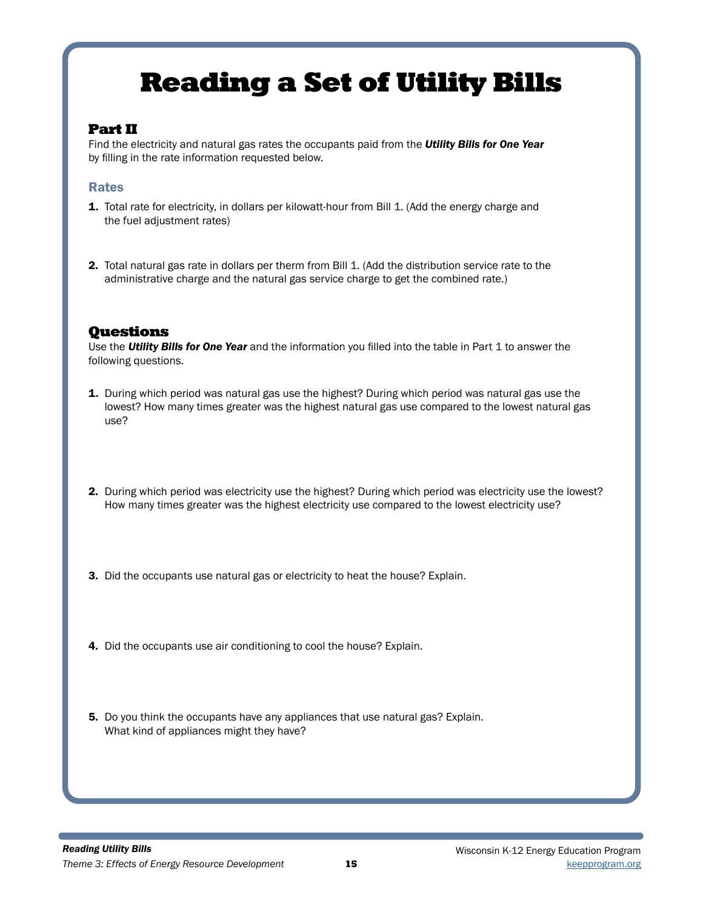## Reading a Set of Utility Bills

## Part II

Find the electricity and natural gas rates the occupants paid from the *Utility Bills for One Year* by filling in the rate information requested below.

### Rates

- 1. Total rate for electricity, in dollars per kilowatt-hour from Bill 1. (Add the energy charge and the fuel adjustment rates)
- 2. Total natural gas rate in dollars per therm from Bill 1. (Add the distribution service rate to the administrative charge and the natural gas service charge to get the combined rate.)

## **Ouestions**

Use the *Utility Bills for One Year* and the information you filled into the table in Part 1 to answer the following questions.

- **1.** During which period was natural gas use the highest? During which period was natural gas use the lowest? How many times greater was the highest natural gas use compared to the lowest natural gas use?
- 2. During which period was electricity use the highest? During which period was electricity use the lowest? How many times greater was the highest electricity use compared to the lowest electricity use?
- 3. Did the occupants use natural gas or electricity to heat the house? Explain.
- 4. Did the occupants use air conditioning to cool the house? Explain.
- 5. Do you think the occupants have any appliances that use natural gas? Explain. What kind of appliances might they have?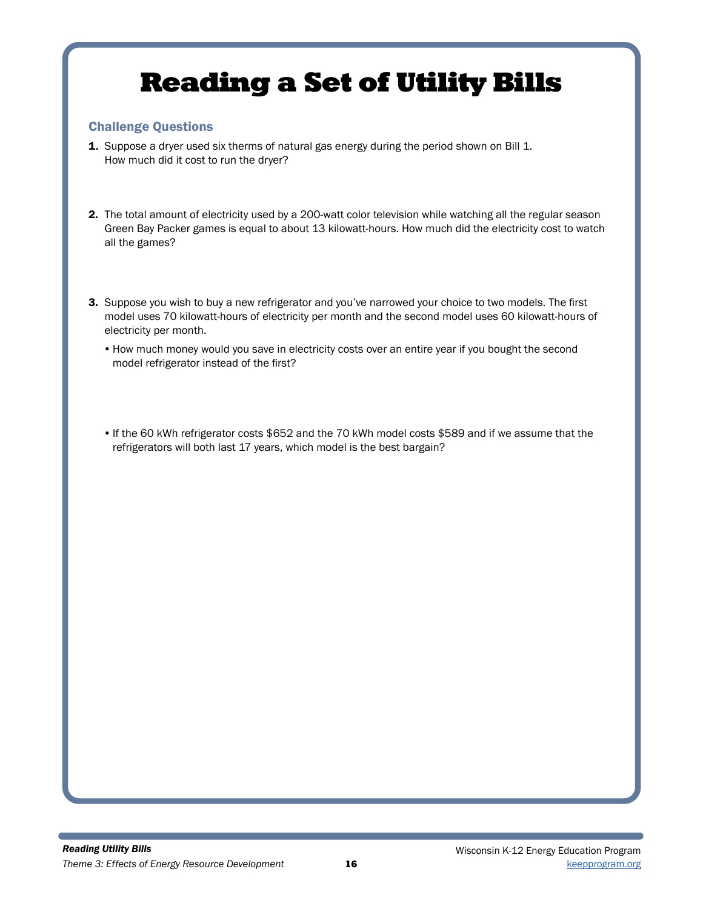# Reading a Set of Utility Bills

### Challenge Questions

- 1. Suppose a dryer used six therms of natural gas energy during the period shown on Bill 1. How much did it cost to run the dryer?
- 2. The total amount of electricity used by a 200-watt color television while watching all the regular season Green Bay Packer games is equal to about 13 kilowatt-hours. How much did the electricity cost to watch all the games?
- 3. Suppose you wish to buy a new refrigerator and you've narrowed your choice to two models. The first model uses 70 kilowatt-hours of electricity per month and the second model uses 60 kilowatt-hours of electricity per month.
	- •How much money would you save in electricity costs over an entire year if you bought the second model refrigerator instead of the first?
	- If the 60 kWh refrigerator costs \$652 and the 70 kWh model costs \$589 and if we assume that the refrigerators will both last 17 years, which model is the best bargain?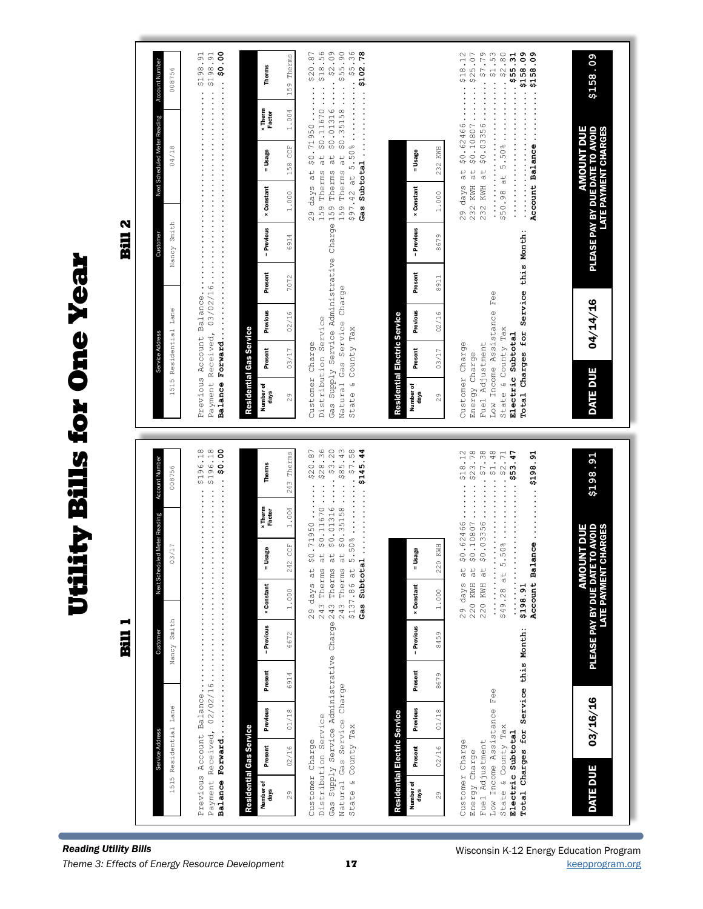| <b>Reading Utility Bills</b>           |                   |                                                                                                                             |                    |                            | Н<br>Bill                                           |                                                                                                                                                                                                                                                                                                                                                                                                                                                                                                   |                                                                   |                          |                                                                                                                                        |                   |                                                                                                                                              |                    |                                                   | N<br>Eil    |                                                                                     |                              |                   |                                                                                                                                                                                                                                                                                                                          |
|----------------------------------------|-------------------|-----------------------------------------------------------------------------------------------------------------------------|--------------------|----------------------------|-----------------------------------------------------|---------------------------------------------------------------------------------------------------------------------------------------------------------------------------------------------------------------------------------------------------------------------------------------------------------------------------------------------------------------------------------------------------------------------------------------------------------------------------------------------------|-------------------------------------------------------------------|--------------------------|----------------------------------------------------------------------------------------------------------------------------------------|-------------------|----------------------------------------------------------------------------------------------------------------------------------------------|--------------------|---------------------------------------------------|-------------|-------------------------------------------------------------------------------------|------------------------------|-------------------|--------------------------------------------------------------------------------------------------------------------------------------------------------------------------------------------------------------------------------------------------------------------------------------------------------------------------|
|                                        |                   |                                                                                                                             |                    |                            |                                                     |                                                                                                                                                                                                                                                                                                                                                                                                                                                                                                   |                                                                   |                          |                                                                                                                                        |                   |                                                                                                                                              |                    |                                                   |             |                                                                                     |                              |                   |                                                                                                                                                                                                                                                                                                                          |
|                                        |                   |                                                                                                                             |                    |                            | Custome                                             | <b>Jext Sch</b>                                                                                                                                                                                                                                                                                                                                                                                                                                                                                   | duled Meter Reading                                               |                          | Account Number                                                                                                                         |                   | Service Add                                                                                                                                  |                    |                                                   | Customer    |                                                                                     | Next Scheduled Meter Reading |                   | Account Number                                                                                                                                                                                                                                                                                                           |
|                                        |                   | 1515 Residential Lane                                                                                                       |                    |                            | Nancy Smith                                         |                                                                                                                                                                                                                                                                                                                                                                                                                                                                                                   | 03/17                                                             |                          | 008756                                                                                                                                 |                   | 1515                                                                                                                                         | Residential Lane   |                                                   | Nancy Smith |                                                                                     | 04/18                        |                   | 008756                                                                                                                                                                                                                                                                                                                   |
|                                        |                   | Previous Account Balance<br>Payment Received,<br>Balance Forward.                                                           |                    |                            |                                                     | .                                                                                                                                                                                                                                                                                                                                                                                                                                                                                                 |                                                                   |                          | 81.961.04<br>st.9613                                                                                                                   |                   |                                                                                                                                              |                    |                                                   |             |                                                                                     |                              |                   | \$198.91<br>\$198.91                                                                                                                                                                                                                                                                                                     |
|                                        | Number of<br>days | Residential Gas Service<br>Present                                                                                          | Previous           | Present                    | - Previous                                          | <b>× Constant</b>                                                                                                                                                                                                                                                                                                                                                                                                                                                                                 | = Usage                                                           | <b>x</b> Therm<br>Factor | Therms                                                                                                                                 | Number of<br>days | Residential Gas Service<br>Present                                                                                                           | Previous           | Present                                           | - Previous  | <b>× Constant</b>                                                                   | = Usage                      | x Therm<br>Factor | Therms                                                                                                                                                                                                                                                                                                                   |
|                                        | 29                | 02/16                                                                                                                       | 01/18              | 6914                       | 6672                                                | 1.000                                                                                                                                                                                                                                                                                                                                                                                                                                                                                             | E<br>CC<br>242                                                    | 1.004                    | Therms<br>243                                                                                                                          | 29                | 03/17                                                                                                                                        | 02/16              | 7072                                              | 6914        | 1.000                                                                               | 158 CCF                      | 1.004             | Therms<br>159                                                                                                                                                                                                                                                                                                            |
|                                        | Natural           | Distribution Service<br>State & County Tax<br>Customer Charge                                                               | Gas Service Charge |                            | Gas Supply Service Administrative Charge 243 Therms | 29 days at<br>243 Therms<br>243 Therms<br>\$137.86 at                                                                                                                                                                                                                                                                                                                                                                                                                                             | $\approx$                                                         |                          | at \$0.01316  \$3.20<br>at $$0.11670 $28.36$<br>\$0.35158\$85.43<br>5.50%58<br>Gas Subtotal  \$145.44<br>\$0.71950 \$20.87             | Natural           | Distribution Service<br>State & County Tax<br>Customer Charge                                                                                | Gas Service Charge |                                                   |             | 29 days at                                                                          |                              | \$0.71950         | \$20.87<br>159 Therms at \$0.11670 \$18.56<br>Gas Supply Service Administrative Charge 159 Therms at \$0.01316  \$2.09<br>159 Therms at \$0.35158 \$55.90                                                                                                                                                                |
|                                        |                   | Residential Electric Service                                                                                                |                    |                            |                                                     |                                                                                                                                                                                                                                                                                                                                                                                                                                                                                                   |                                                                   |                          |                                                                                                                                        |                   | Residential Electric Service                                                                                                                 |                    |                                                   |             |                                                                                     |                              |                   |                                                                                                                                                                                                                                                                                                                          |
|                                        | Number of<br>days | Present                                                                                                                     | Previous           | Present                    | - Previous                                          | <b>× Constant</b>                                                                                                                                                                                                                                                                                                                                                                                                                                                                                 | = Usage                                                           |                          |                                                                                                                                        | Number of<br>days | Present                                                                                                                                      | Previous           | Present                                           | - Previous  | <b>× Constant</b>                                                                   | = Usage                      |                   |                                                                                                                                                                                                                                                                                                                          |
|                                        | 29                | 02/16                                                                                                                       | 01/18              | 8679                       | 8459                                                | 1.000                                                                                                                                                                                                                                                                                                                                                                                                                                                                                             | 220 KWH                                                           |                          |                                                                                                                                        | 29                | 03/17                                                                                                                                        | 02/16              | 8911                                              | 8679        | 1.000                                                                               | 232 KWH                      |                   |                                                                                                                                                                                                                                                                                                                          |
| Wisconsin K-12 Energy Education Progra | Energy Charge     | Low Income Assistance<br>State & County Tax<br>Total Charges for<br>Electric Subtotal<br>Fuel Adjustment<br>Customer Charge |                    | Service this Month:<br>Fee |                                                     | $\frac{1}{2}$ $\frac{1}{2}$ $\frac{1}{2}$ $\frac{1}{2}$ $\frac{1}{2}$ $\frac{1}{2}$ $\frac{1}{2}$ $\frac{1}{2}$ $\frac{1}{2}$ $\frac{1}{2}$ $\frac{1}{2}$ $\frac{1}{2}$ $\frac{1}{2}$ $\frac{1}{2}$ $\frac{1}{2}$ $\frac{1}{2}$ $\frac{1}{2}$ $\frac{1}{2}$ $\frac{1}{2}$ $\frac{1}{2}$ $\frac{1}{2}$ $\frac{1}{2}$<br>$\frac{1}{2}$ , $\frac{1}{2}$ , $\frac{1}{2}$ , $\frac{1}{2}$ , $\frac{1}{2}$ , $\frac{1}{2}$ , $\frac{1}{2}$<br>\$49.28 at<br>220 KWH<br>220 KWH<br>$29$ days<br>\$198.91 | \$0.10807<br>Account Balance<br>$\alpha$<br>$\alpha$<br>$\vec{a}$ | \$0.62466                | \$18.12<br>$\cdots \cdots$ $\frac{23.78}{29.78}$<br>\$0.0335647.38<br>18<br>148<br>1.13<br>1.19<br>$5.50\%$ \$2.71<br>$-47$<br>10.9019 |                   | Low Income Assistance<br>State & County Tax<br>Total Charges for<br>Electric Subtotal<br>Fuel Adjustment<br>Customer Charge<br>Energy Charge |                    | Service this Month:<br>$\mathbb{F} \oplus \oplus$ |             | .<br>232 KWH at<br>$29$ days                                                        | \$0.62466<br>$\vec{a}$       | Account Balance   | $\cdots \cdots \cdots$ \$18.12<br>\$0.10807\$25.07<br>232 KWH at \$0.03356 \$7.79<br>53<br>\$50.98 at 5.50% \$2.80<br><b>18.59</b><br>19.59<br>19.59<br>19.5<br>19.5<br>19.5<br>19.5<br>19.5<br>19.5<br>19.5<br>19.5<br>19.5<br>19.5<br>19.5<br>19.5<br>19.5<br>19.5<br><br>60、8ST\$ ・・・・・・・・・・・・・・・・・・・・・・・<br>\$158.09 |
|                                        | DATE DUE          |                                                                                                                             | 03/16/16           |                            | PLEASE PAY BY DUE DAT<br>LATE PAYMENT               |                                                                                                                                                                                                                                                                                                                                                                                                                                                                                                   | <b>DUNT DUE</b><br>ETO AVOID<br>CHARGES                           |                          | \$198.91                                                                                                                               | DATE DUE          |                                                                                                                                              | 04/14/16           |                                                   |             | <b>AMOUNT DUE</b><br>PLEASE PAY BY DUE DATE TO AVOID<br><b>LATE PAYMENT CHARGES</b> |                              |                   | \$158.09                                                                                                                                                                                                                                                                                                                 |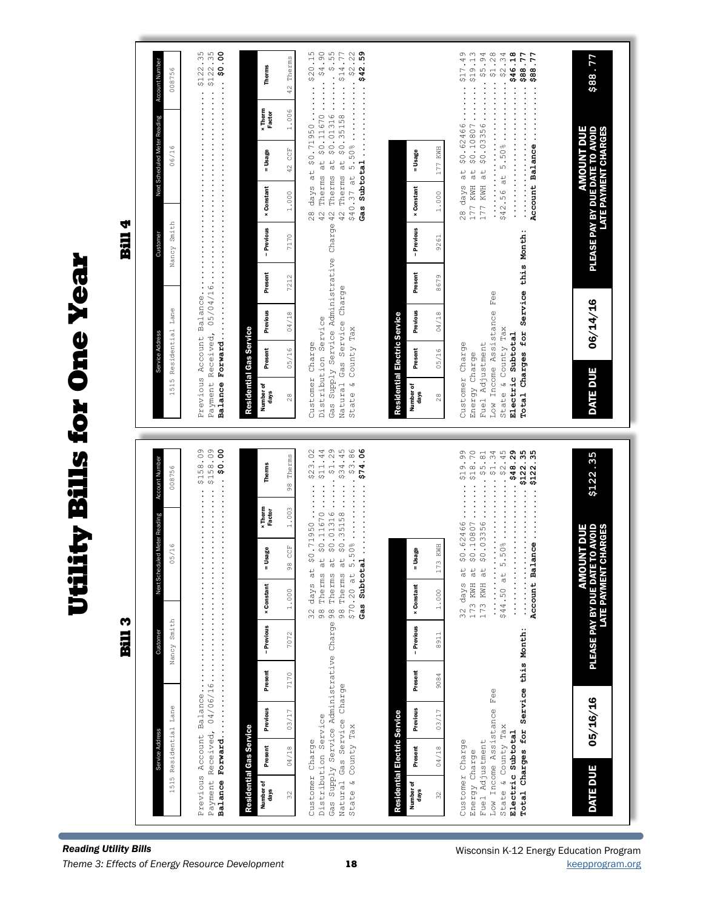| Next Scheduled Meter Reading Account Number<br>06/16<br><b>Bill 4</b><br>Nancy Smith<br>Customer<br>lity Bills for One Year<br>1515 Residential Lane<br>Service Address<br>$0.8019$ : $\cdots$ $\cdots$ $\cdots$ $\cdots$ $\cdots$ $\cdots$ $\cdots$ $\cdots$ $\cdots$ $\cdots$ $\cdots$ $\cdots$ $\cdots$ $\cdots$ $\cdots$ $\cdots$ $\cdots$ $\cdots$ $\cdots$ $\cdots$ $\cdots$ $\cdots$ $\cdots$ $\cdots$ $\cdots$ $\cdots$ $\cdots$ $\cdots$ $\cdots$ $\cdots$ $\cdots$ $\cdots$ $\cdots$ $\cdots$ $\cdots$<br>the duled Meter Reading Account Number<br>008756<br>05/16<br>Previous Account Balance<br>Next So<br>Ë<br><b>Bill 3</b><br>Nancy Smith<br>Customer<br>1515 Residential Lane<br>Service Address |  | 008756 |  |
|-------------------------------------------------------------------------------------------------------------------------------------------------------------------------------------------------------------------------------------------------------------------------------------------------------------------------------------------------------------------------------------------------------------------------------------------------------------------------------------------------------------------------------------------------------------------------------------------------------------------------------------------------------------------------------------------------------------------|--|--------|--|
| <b>Reading Utility Bills</b>                                                                                                                                                                                                                                                                                                                                                                                                                                                                                                                                                                                                                                                                                      |  |        |  |
|                                                                                                                                                                                                                                                                                                                                                                                                                                                                                                                                                                                                                                                                                                                   |  |        |  |
|                                                                                                                                                                                                                                                                                                                                                                                                                                                                                                                                                                                                                                                                                                                   |  |        |  |
|                                                                                                                                                                                                                                                                                                                                                                                                                                                                                                                                                                                                                                                                                                                   |  |        |  |
|                                                                                                                                                                                                                                                                                                                                                                                                                                                                                                                                                                                                                                                                                                                   |  |        |  |
|                                                                                                                                                                                                                                                                                                                                                                                                                                                                                                                                                                                                                                                                                                                   |  |        |  |
|                                                                                                                                                                                                                                                                                                                                                                                                                                                                                                                                                                                                                                                                                                                   |  |        |  |
|                                                                                                                                                                                                                                                                                                                                                                                                                                                                                                                                                                                                                                                                                                                   |  |        |  |
|                                                                                                                                                                                                                                                                                                                                                                                                                                                                                                                                                                                                                                                                                                                   |  |        |  |

|                                                                                                                                                                      |         |          |         |            | Previous Account Balance<br>Payment Received, 04/06/16                                                    |                                                | .                        | \$158.09<br>0.8019<br>00:09                                                                                                                          |                   |                                                                                                |                                          |                                              |            |                   |                                                                                    |                          | \$122.35                                                                                                                                                                                              |
|----------------------------------------------------------------------------------------------------------------------------------------------------------------------|---------|----------|---------|------------|-----------------------------------------------------------------------------------------------------------|------------------------------------------------|--------------------------|------------------------------------------------------------------------------------------------------------------------------------------------------|-------------------|------------------------------------------------------------------------------------------------|------------------------------------------|----------------------------------------------|------------|-------------------|------------------------------------------------------------------------------------|--------------------------|-------------------------------------------------------------------------------------------------------------------------------------------------------------------------------------------------------|
| Residential Gas Service<br>Number of<br>days                                                                                                                         | Present | Previous | Present | - Previous | <b>× Constant</b>                                                                                         | = Usage                                        | <b>x</b> Therm<br>Factor | Therms                                                                                                                                               | Number of<br>days | Residential Gas Service<br>Present                                                             | Previous                                 | Present                                      | - Previous | <b>x Constant</b> | = Usage                                                                            | <b>x</b> Therm<br>Factor | <b>Therms</b>                                                                                                                                                                                         |
| 32                                                                                                                                                                   | 04/18   | 03/17    | 7170    | 7072       | 1.000                                                                                                     | 98 CCF                                         | 1.003                    | 98 Therms                                                                                                                                            | $\frac{8}{2}$     | 05/16                                                                                          | 04/18                                    | 7212                                         | 7170       | 1.000             | 42 CCF                                                                             | 1.006                    | 42 Therms                                                                                                                                                                                             |
| Natural Gas Service Charge<br>Distribution Service<br>State & County Tax<br>Customer Charge                                                                          |         |          |         |            | days at<br>\$70.20 at<br>Gas Supply Service Administrative Charge 98 Therms<br>98 Therms<br>$\frac{2}{3}$ |                                                |                          | at \$0.01316 \$1.29<br>at \$0.35158 \$34.45<br>\$0.71950 \$23.02<br>98 Therms at \$0.11670 \$11.44                                                   |                   | Distribution Service<br>State & County Tax<br>Customer Charge                                  | Natural Gas Service Charge               |                                              |            |                   |                                                                                    |                          | 28 days at \$0.71950 \$20.15<br>42 Therms at \$0.11670 \$4.90<br>Gas Supply Service Administrative Charge 42 Therms at \$0.01316  \$.55<br>42 Therms at \$0.35158  \$14.77<br>\$40.37 at 5.50% \$2.22 |
| Residential Electric Service<br>Number of<br>days                                                                                                                    | Present | Previous | Present | - Previous | <b>× Constant</b>                                                                                         | - Usage                                        |                          |                                                                                                                                                      | Number of<br>days | Present                                                                                        | Previous<br>Residential Electric Service | Present                                      | - Previous | <b>× Constant</b> | = Usage                                                                            |                          |                                                                                                                                                                                                       |
| 32                                                                                                                                                                   | 04/18   | 03/17    | 9084    | 8911       | 1.000                                                                                                     | 173 KWH                                        |                          |                                                                                                                                                      | 28                | 05/16                                                                                          | 04/18                                    | 8679                                         | 9261       | 1.000             | 177 KWH                                                                            |                          |                                                                                                                                                                                                       |
| Total Charges for Service this Month:<br>Low Income Assistance Fee<br>State & County Tax<br>Electric Subtotal<br>Customer Charge<br>Fuel Adjustment<br>Energy Charge |         |          |         |            | 32 days at<br>173 KWH at<br>173 KWH at<br>.<br>.<br>\$44.50 at                                            | \$0.62466                                      |                          | $0.396 \cdot 996 \cdot 1000$<br>$5.50\%$ \$2.45<br>$\cdots$ $\cdots$ $\frac{19}{99}$<br>\$0.10807318.70<br>\$0.0335635.81<br>Account Balance\$122.35 |                   | State & County Tax<br>Electric Subtotal<br>Customer Charge<br>Fuel Adjustment<br>Energy Charge | Low Income Assistance                    | Total Charges for Service this Month:<br>Fee |            | 177 KWH at        |                                                                                    |                          | \$0.10807 \$19.13<br>LL , 88\$ ··························<br>28 days at \$0.62466 \$17.49<br>177 KWH at \$0.03356 \$5.94<br>$$42.56$ at $5.50\%$ \$2.34<br>81.9\$\$<br>Account Balance \$88.77        |
| <b>DATE DUE</b>                                                                                                                                                      |         | 05/16/16 |         |            | PLEASE PAY BY DUE DAT<br><b>ATE PAYMEN</b>                                                                | E TO AVOID<br><b>UNT DUE</b><br><b>CHARGES</b> |                          | \$122.35                                                                                                                                             |                   | <b>DATE DUE</b>                                                                                | 06/14/16                                 |                                              |            |                   | PLEASE PAY BY DUE DATE TO AVOID<br><b>AMOUNT DUE</b><br><b>ATE PAYMENT CHARGES</b> |                          | \$88.77                                                                                                                                                                                               |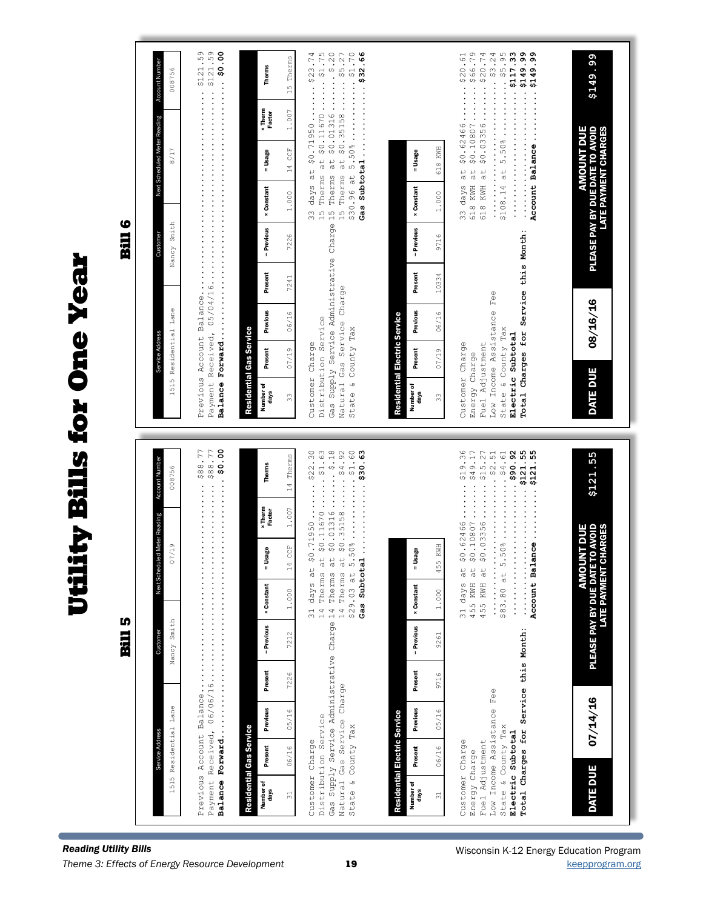| Gas Supply Service Administrative Charge 15 Therms at \$0.01316 \$.20<br>Total Charges for Service this Month:<br>Present<br>Present<br>10334<br>7241<br>Natural Gas Service Charge<br>$Fe\oplus$<br>Low Income Assistance<br>Residential Lane<br>Previous<br>Previous<br>06/16<br>06/16<br>Residential Electric Service<br>Distribution Service<br>State & County Tax<br>State & County Tax<br>Residential Gas Service<br>Electric Subtotal<br>Service Addr<br>Customer Charge<br>Fuel Adjustment<br>Customer Charge<br>Present<br>Present<br>07/19<br>07/19<br>Energy Charge<br>1515<br>Number of<br>Number of<br>days<br>days<br>33<br>33<br>0.0001<br>LL · 88\$ ············<br><br>at $$0.01316 $18$<br>\$19.36<br>\$90.92<br>$\cdots$ 55<br>\$0.71950 \$22.30<br>$at$ \$0.11670\$1.63<br>$at$ \$0.35158 \$4.92<br>\$0.03356\$15.27<br>$5.50\%$ \$4.61<br>Account Balance\$121.55<br>$ \ldots$<br>14 Therms<br>Account Number<br>Therms<br>008756<br><b>x</b> Therm<br>1.007<br>Factor<br>duled Meter Reading<br>\$0.62466<br>\$0.10807 |
|----------------------------------------------------------------------------------------------------------------------------------------------------------------------------------------------------------------------------------------------------------------------------------------------------------------------------------------------------------------------------------------------------------------------------------------------------------------------------------------------------------------------------------------------------------------------------------------------------------------------------------------------------------------------------------------------------------------------------------------------------------------------------------------------------------------------------------------------------------------------------------------------------------------------------------------------------------------------------------------------------------------------------------------------|
|----------------------------------------------------------------------------------------------------------------------------------------------------------------------------------------------------------------------------------------------------------------------------------------------------------------------------------------------------------------------------------------------------------------------------------------------------------------------------------------------------------------------------------------------------------------------------------------------------------------------------------------------------------------------------------------------------------------------------------------------------------------------------------------------------------------------------------------------------------------------------------------------------------------------------------------------------------------------------------------------------------------------------------------------|

**Reading Utility Bills** *Theme 3: Effects of Energy Resource Development* [keepprogram.org](http://keepprogram.org)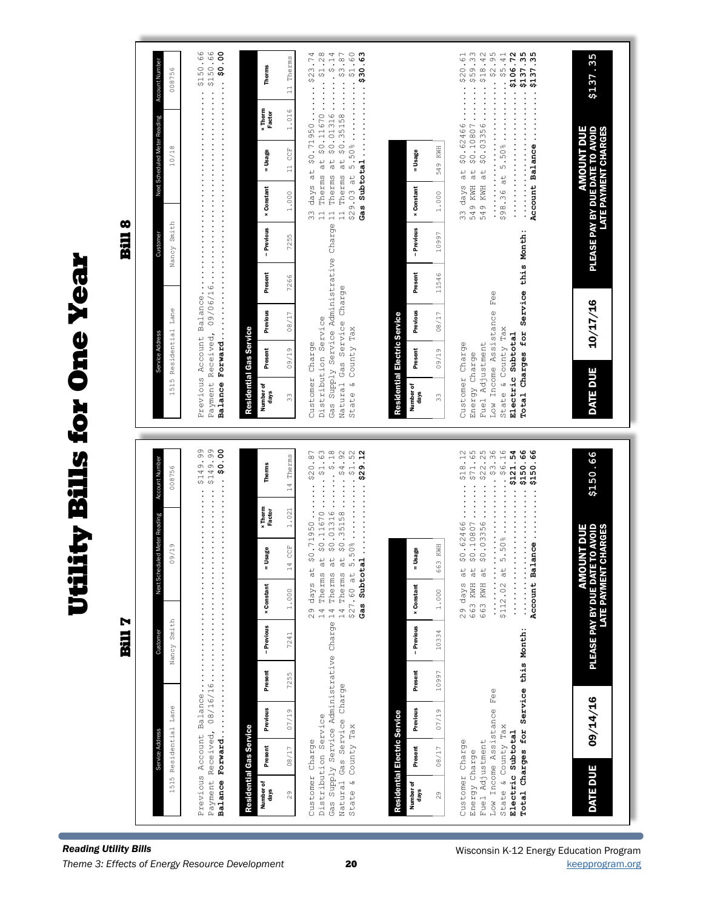**Production Billity Bills for One Year Utility Bills for One Year** 

 $\blacksquare$ 

Bill 8

\$150.66

**kcount Number** 

008756

11 Therms

**Therms** 

 $$0.10807...... $59.33$ <br> $$0.03356...... $18.42$ Previous Account Balance........................................ \$150.66 Payment Received, 09/06/16...................................... \$150.66 **Balance Forward................................................... \$0.00** Customer Charge  $23 \text{ days}$  days at  $$0$ .71950  $\ldots$   $\ldots$   $$23.74$ Distribution Service 11 Therms at \$0.11670 ...... \$1.28 Gas Supply Service Administrative Charge 11 Therms at \$0.01316 ....... \$.14 Natural Gas Service Charge 11 Therms at \$0.35158 ...... \$3.87 State & County Tax \$29.03 at 5.50% ............ \$1.60 **Gas Subtotal .............. \$30.63** Customer Charge 33 days at \$0.62466 ....... \$20.61 Energy Charge 549 KWH at \$0.10807 ....... \$59.33 Fuel Adjustment 549 KWH at \$0.03356 ....... \$18.42 Low Income Assistance Fee ........................... \$2.95  $$98.36$  at  $5.50\%$ ................ State & County Tax \$98.36 at 5.50% ............ \$5.41 **Electric Subtotal ......................... \$106.72 Total Charges for Service this Month: ......................... \$137.35 Account Balance .......... \$137.35** 33 09/19 08/17 7266 7255 1.000 11 CCF 1.016 11 Therms Service Address Customer Next Scheduled Meter Reading Account Number nberof Present Previous Present − Previous ×Constant = Usage × Therm Therms<br>Idays 1515 Residential Lane Nancy Smith 10/18 008756 Account Balance ......... x Therm<br>Factor  $1.016$ Vext Scheduled Meter Reading \$0.62466 PLEASE PAY BY DUE DATE TO AVOID **AMOUNT DUE** AMOUNT DUE **PLEASE PAY BY DUE DATE TO AVOID<br>LATE PAYMENT CHARGES** LATE PAYMENT CHARGES  $10/18$ **CCE** 549 KWH 33 09/19 08/17 11546 10997 1.000 549 KWH = Usage = Usage days Present Previous Present − Previous × Constant = Usage  $\frac{1}{2}$  $\begin{array}{c}\n\frac{1}{2} & \text{if } \frac{1}{2} \\
\frac{1}{2} & \text{if } \frac{1}{2} \\
\frac{1}{2} & \text{if } \frac{1}{2} \\
\frac{1}{2} & \text{if } \frac{1}{2} \\
\frac{1}{2} & \text{if } \frac{1}{2} \\
\frac{1}{2} & \text{if } \frac{1}{2} \\
\frac{1}{2} & \text{if } \frac{1}{2} \\
\frac{1}{2} & \text{if } \frac{1}{2} \\
\frac{1}{2} & \text{if } \frac{1}{2} \\
\frac{1}{2} & \text{if } \frac{1}{2} \\
\frac$  $at$ 33 days 549 KWH 549 KWH **x** Constant **× Constant**  $1.000$  $1.000$ Nancy Smith - Previous - Previous Total Charges for Service this Month: 7255 10997 Custome Gas Supply Service Administrative Present Present 7266 11546 Gas Service Charge  $\mathbb{F}^{\oplus\oplus}$ 10/17/16 DATE DUE 10/17/16 1515 Residential Lane Low Income Assistance Previous Previous  $08/17$ 08/17 Residential Electric Service Residential Electric Service Distribution Service Natural Gas Service<br>State & County Tax State & County Tax Residential Gas Service Residential Gas Service Electric Subtotal Service Addres Customer Charge Customer Charge Fuel Adjustment Present Present  $09/19$  $09/19$ Energy Charge DATE DUE Number of<br>days Number of<br>days Number of Number of  $\frac{3}{3}$  $\frac{1}{2}$  $$0.62466...... $18.12$ <br> $$0.10807...... $71.65$ <br> $$0.03356...... $22.25$  $\cdots$   $\cdots$   $\frac{12}{12}$  63  $$27.60$  at  $5.50\%$ ...............  $60.52$   $60.52$   $60.52$   $60.52$   $60.52$   $60.52$   $60.52$   $60.52$   $60.52$   $60.52$   $60.52$   $60.52$   $60.52$   $60.52$   $60.52$   $60.52$   $60.52$   $60.52$   $60.52$   $60.52$   $60.52$   $60.52$   $60.52$   $60.52$   $60.52$   $60.52$   $60.52$   $60.5$ \$112.02 at 5.50%.......... \$6.16 **99.0554......................** Previous Account Balance........................................ \$149.99 Payment Received, 08/16/16...................................... \$149.99 **Balance Forward................................................... \$0.00** \$20.87 Distribution Service 14 Therms at \$0.11670 ...... \$1.63 Gas Supply Service Administrative Charge 14 Therms at \$0.01316 ....... \$.18 **Gas Subtotal .............. \$29.12** Energy Charge  $663$  KWH at  $$0.10807 \ldots . . . $71.65$ Fuel Adjustment 663 KWH at \$0.03356 ....... \$22.25 Low Income Assistance Fee ........................... \$3.36 State & County Tax  $\begin{array}{c} \text{max} \\ \text{sum} \\ \text{sum} \\ \text{sum} \\ \text{sum} \\ \text{sum} \\ \text{sum} \\ \text{sum} \\ \text{sum} \\ \text{sum} \\ \text{sum} \\ \text{sum} \\ \text{sum} \\ \text{sum} \\ \text{sum} \\ \text{sum} \\ \text{sum} \\ \text{sum} \\ \text{sum} \\ \text{sum} \\ \text{sum} \\ \text{sum} \\ \text{sum} \\ \text{sum} \\ \text{sum} \\ \text{sum} \\ \text{sum} \\ \text{sum} \\ \text{sum} \\ \text{sum} \\ \text{sum} \\ \text{sum} \\ \text$ **Electric Subtotal ......................... \$121.54 Total Charges for Service this Month: ......................... \$150.66** Account Balance.........\$150.66 **Account Balance .......... \$150.66** Customer Charge 29 days at \$0.71950 ....... \$20.87 Natural Gas Service Charge 14 Therms at \$0.35158 ...... \$4.92 State & County Tax \$27.60 at 5.50% ............ \$1.52 Customer Charge 29 days at \$0.62466 ....... \$18.12 **\$150.66** 14 Therms 29 08/17 07/19 7255 7241 1.000 14 CCF 1.021 14 Therms **Account Number** Service Address Customer Next Scheduled Meter Reading Account Number Therms mber of Present Previous Present −Previous ×Constant = Usage ×Therm Therms<br>Idays 008756 1515 Residential Lane Nancy Smith 09/19 008756  $\ddot{\cdot}$ x Therm<br>Factor 29 days at \$0.71950...  $1.021$ 14 Therms at \$0.11670 Next Scheduled Meter Reading **AMOUNT DUE<br>PLEASE PAY BY DUE DATE TO AVOID<br>LATE PAYMENT CHARGES** PLEASE PAY BY DUE DATE TO AVOID AMOUNT DUE LATE PAYMENT CHARGES  $09/19$ KWH 14 CCF 29 08/17 07/19 10997 10334 1.000 663 KWH = Usage = Usage days Present Previous Present − Previous × Constant = Usage 663  $\frac{1}{d}$  $\frac{1}{\sigma}$  $\frac{1}{9}$  $29$  days 663 KWH 663 KWH **× Constant × Constant**  $1.000$  $1.000$ Nancy Smith - Previous - Previous Total Charges for Service this Month: 7241 10334 Custon Present 7255 Present 10997 Low Income Assistance Fee 09/14/16 DATE DUE 09/14/16 1515 Residential Lane Previous  $07/19$ Previous  $07/19$ Residential Electric Service Residential Electric Service Distribution Service Natural Gas Service<br>State & County Tax State & County Tax Residential Gas Service Residential Gas Service Electric Subtotal Service Address Customer Charge Customer Charge Adjustment Present Present 08/17 08/17 Energy Charge DATE DUE Number of<br>days Number of<br>days Number of Number of  $29$  $29$ Fuel Gas

Wisconsin K-12 Energy Education Program

**\$137.35**

\$137.35

\$137.35

 $$20.61$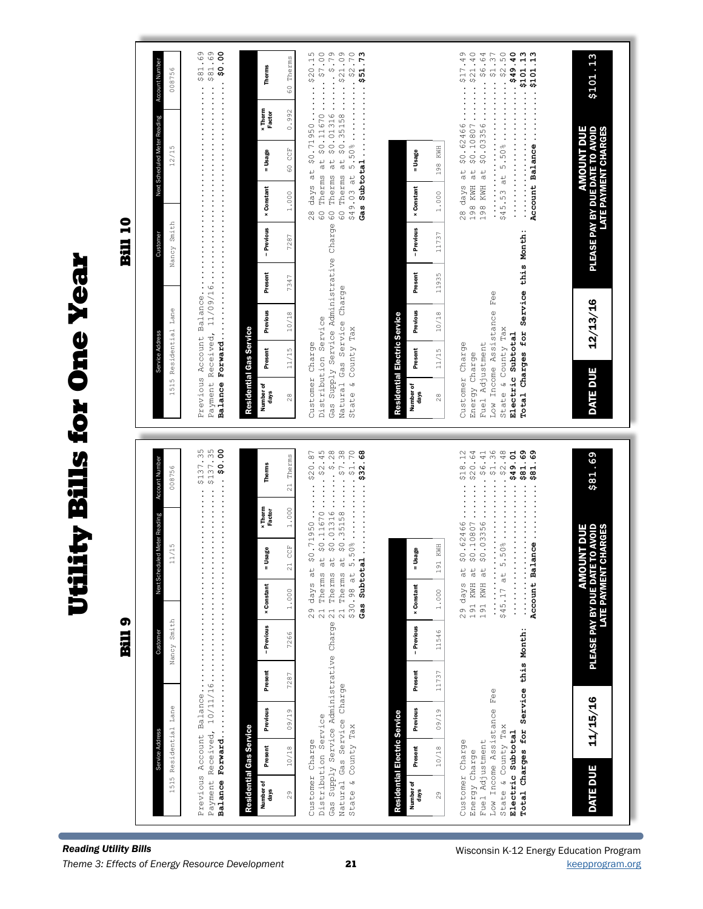**Utility Bills for One Year Production Billity Bills for One Year** 

Bill 9

Bill 10

| Account Number<br>008756                 |                               | <b>Therms</b>                                  | Therms<br>$\overline{6}$  | Gas Supply Service Administrative Charge 60 Therms at \$0.01316  \$.79<br>60 Therms at \$0.35158  \$21.09<br>\$49.03 at 5.50%\$2.70<br>days at \$0.71950 \$20.15<br>Therms at \$0.11670 \$7.00<br>Gas Subtotal  \$51.73 |                                                              | \$45.53 at 5.50% \$2.50<br>\$0.62466 \$17.49<br>\$0.10807 \$21.40<br>\$0.03356 \$6.64<br>Account Balance\$101.13                                                                                                                                                                                                                                                                                     | \$101.13                              |
|------------------------------------------|-------------------------------|------------------------------------------------|---------------------------|-------------------------------------------------------------------------------------------------------------------------------------------------------------------------------------------------------------------------|--------------------------------------------------------------|------------------------------------------------------------------------------------------------------------------------------------------------------------------------------------------------------------------------------------------------------------------------------------------------------------------------------------------------------------------------------------------------------|---------------------------------------|
|                                          |                               | <b>x</b> Therm<br>Factor                       | 0.992                     |                                                                                                                                                                                                                         |                                                              |                                                                                                                                                                                                                                                                                                                                                                                                      | Е                                     |
| Next Scheduled Meter Reading<br>12/15    |                               | = Usage                                        | CCE<br>$^{60}$            |                                                                                                                                                                                                                         | 198 KWH<br>= Usage                                           | at                                                                                                                                                                                                                                                                                                                                                                                                   | <b>AMOUNT DUI</b>                     |
|                                          |                               | <b>× Constant</b>                              | 1.000                     | $\frac{8}{2}$<br>9                                                                                                                                                                                                      | <b>x</b> Constant<br>1.0000                                  | KWH at<br>198 KWH at<br>$\ddot{z}$ , $\ddot{z}$ , $\ddot{z}$ , $\ddot{z}$<br>$28$ days<br>198<br>$\ddot{\cdot}$                                                                                                                                                                                                                                                                                      | <b>LATE PAYMENT CHARGES</b>           |
| Nancy Smith<br>Custome                   |                               | - Previous                                     | 7287                      |                                                                                                                                                                                                                         | - Previous<br>11737                                          |                                                                                                                                                                                                                                                                                                                                                                                                      | PLEASE PAY BY DUE DATE TO AVOID       |
|                                          |                               | Present                                        | 7347                      |                                                                                                                                                                                                                         | Present<br>11935                                             |                                                                                                                                                                                                                                                                                                                                                                                                      |                                       |
|                                          |                               | Previous                                       | 10/18                     | Natural Gas Service Charge                                                                                                                                                                                              | Previous<br>10/18                                            |                                                                                                                                                                                                                                                                                                                                                                                                      | 12/13/16                              |
| Residential Lane<br>Service Address      |                               | Residential Gas Service<br>Present             | 11/15                     |                                                                                                                                                                                                                         | Residential Electric Service<br>Present<br>11/15             |                                                                                                                                                                                                                                                                                                                                                                                                      |                                       |
| 1515                                     |                               | Number of<br>days                              | $\frac{8}{2}$             | Distribution Service<br>State & County Tax<br>Customer Charge                                                                                                                                                           | Number of<br>days<br>28                                      | Total Charges for Service this Month:<br>Low Income Assistance Fee<br>State & County Tax<br>Electric Subtotal<br>Customer Charge<br>Fuel Adjustment<br>Energy Charge                                                                                                                                                                                                                                 | <b>DATE DUE</b>                       |
|                                          |                               |                                                |                           |                                                                                                                                                                                                                         |                                                              |                                                                                                                                                                                                                                                                                                                                                                                                      |                                       |
|                                          |                               |                                                |                           |                                                                                                                                                                                                                         |                                                              |                                                                                                                                                                                                                                                                                                                                                                                                      |                                       |
| 008756                                   |                               | Therms                                         | Therms<br>$\overline{21}$ |                                                                                                                                                                                                                         |                                                              |                                                                                                                                                                                                                                                                                                                                                                                                      | \$81.69                               |
| Account Number                           | $\cdots \cdots \cdots \cdots$ | <b>x</b> Therm<br>Factor                       | 1.000                     | $\cdots \cdots \cdots 9$                                                                                                                                                                                                |                                                              | $\cdots \cdots \cdots$ \$18.12                                                                                                                                                                                                                                                                                                                                                                       |                                       |
| Jed Meter Reading<br>11/15               | 00:09                         | Usage<br>II                                    | <b>CCE</b>                | $-508$<br>\$0.71950 \$20.87                                                                                                                                                                                             | Usage<br>I                                                   | 69 · T89 · · · · · · · · · · · · · ·<br>\$0.10807320.64<br>\$0.0335686.41                                                                                                                                                                                                                                                                                                                            | <b>JNT DUE</b><br>TO AVOID<br>CHARGES |
| Next Sched                               |                               |                                                | $\approx$<br>1.000        | Therms at $$0.11670$2.45$<br>days at                                                                                                                                                                                    | 191 KWH<br>1.000                                             | at \$0.62466                                                                                                                                                                                                                                                                                                                                                                                         | <b>AMO</b>                            |
|                                          |                               | <b>x</b> Constant<br>- Previous                | 7266                      | 21 Therms at \$0.35158 \$7.38<br>Gas Subtotal\$32.68<br>\$30.98 at 5<br>$\overline{21}$<br>$\frac{6}{2}$                                                                                                                | <b>x</b> Constant<br>11546                                   | Account Balance\$81.69<br>191 KWH at<br>191 KWH at<br>\$45.17 at 5<br>$\frac{1}{2}$ $\frac{1}{2}$ $\frac{1}{2}$ $\frac{1}{2}$ $\frac{1}{2}$ $\frac{1}{2}$ $\frac{1}{2}$ $\frac{1}{2}$ $\frac{1}{2}$ $\frac{1}{2}$ $\frac{1}{2}$ $\frac{1}{2}$ $\frac{1}{2}$ $\frac{1}{2}$ $\frac{1}{2}$ $\frac{1}{2}$ $\frac{1}{2}$ $\frac{1}{2}$ $\frac{1}{2}$ $\frac{1}{2}$ $\frac{1}{2}$ $\frac{1}{2}$<br>29 days | <b>LATE PAYMENT</b>                   |
| Nancy Smith<br>Customer                  |                               | Present                                        | 7287                      |                                                                                                                                                                                                                         | - Previous<br>Present<br>11737                               |                                                                                                                                                                                                                                                                                                                                                                                                      | PLEASE PAY BY DUE DAT                 |
|                                          |                               |                                                | 09/19                     |                                                                                                                                                                                                                         | 09/19                                                        |                                                                                                                                                                                                                                                                                                                                                                                                      |                                       |
| 1515 Residential Lane<br>Service Address | Previous Account Balance      | Previous<br>Residential Gas Service<br>Present | 10/18                     | Gas Supply Service Administrative Charge 21 Therms at \$0.01316<br>Natural Gas Service Charge<br>Distribution Service<br>State & County Tax<br>Customer Charge                                                          | Previous<br>Residential Electric Service<br>Present<br>10/18 | Total Charges for Service this Month:<br>Low Income Assistance Fee<br>State & County Tax<br>Electric Subtotal<br>Fuel Adjustment<br>Customer Charge<br>Energy Charge                                                                                                                                                                                                                                 | 11/15/16<br><b>DATE DUE</b>           |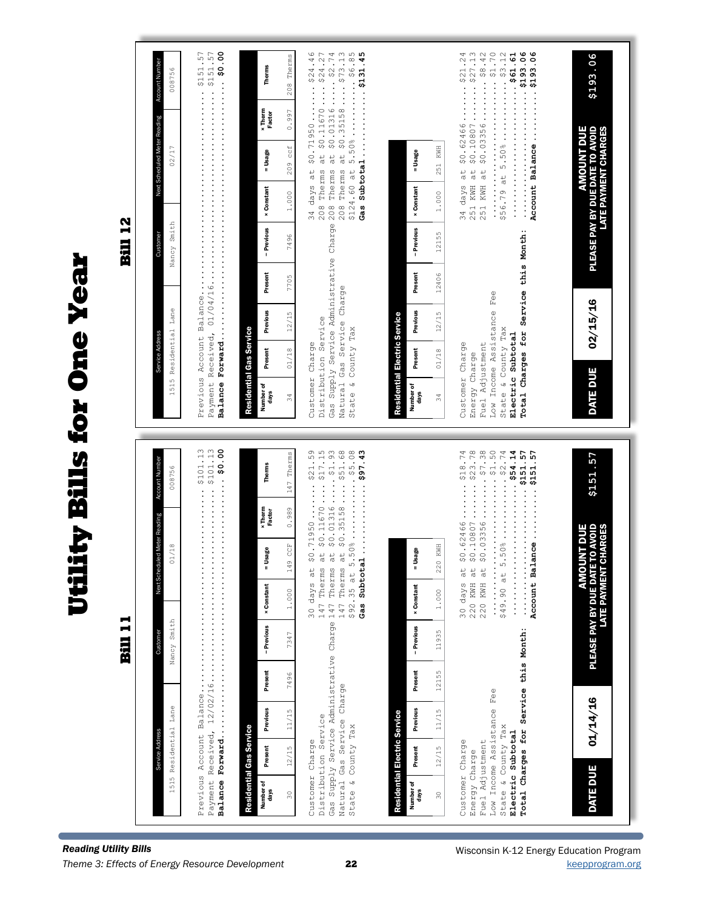| \$0.71950 \$24.46<br>at \$0.11670\$24.27<br>Gas Supply Service Administrative Charge 208 Therms at \$0.01316 \$2.74<br>208 Therms at \$0.35158 \$73.13<br>$$124.60$ at $5.50\%$ \$6.85<br>Gas Subtotal 45<br>$\cdots \cdots$ \$21.24<br>251 KWH at \$0.10807\$27.13<br>251 KWH at \$0.03356\$8.42<br>Account Balance\$193.06<br>208 Therms<br><b>x</b> Therm<br>0.997<br>Factor<br>\$0.62466<br>$209$ ccf<br>KWH<br>= Usage<br>= Usage<br>251<br>34 days at<br>208 Therms<br>days at<br><b>× Constant</b><br><b>× Constant</b><br>1.000<br>1.000<br>34<br>- Previous<br>- Previous<br>Total Charges for Service this Month:<br>12155<br>7496<br>Present<br>Present<br>12406<br>7705<br>Natural Gas Service Charge<br>$Fe\oplus$<br>Low Income Assistance<br>Previous<br>Previous<br>12/15<br>12/15<br>Residential Electric Service<br>Distribution Service<br>State & County Tax<br>State & County Tax<br>Residential Gas Service<br>Electric Subtotal<br>Customer Charge<br>Fuel Adjustment<br>Customer Charge<br>Present<br>01/18<br>Present<br>01/18<br>Energy Charge<br>Number of<br>Number of<br>days<br>days<br>34<br>34<br>00:04<br>at $$0.11670 $17.15$<br>at \$0.01316\$1.93<br>at \$0.35158\$51.68<br>\$0.0335647.38<br>\$0.71950 \$21.59<br>\$0.10807\$23.78<br>$5.50\%$ \$2.74<br>\$54.14<br>$\ldots$ 57<br>Account Balance\$151.57<br>147 Therms<br>Therms<br>0.989<br><b>x</b> Therm<br>Factor<br>\$0.62466<br>49 CCF<br>20 KWH<br>- Usage<br>= Usage<br>30 days at<br>147 Therms<br>Therms<br>Therms<br>30 days at<br>$\alpha$<br>$\vec{a}$<br>$\overline{\phantom{a}}$<br>$\alpha$<br>\$49.90 at<br><br>\$92.35 at<br>220 KWH<br>220 KWH<br><b>× Constant</b><br><b>× Constant</b><br>1.000<br>1.000<br>Gas Supply Service Administrative Charge 147<br>147<br>- Previous<br>- Previous<br>Service this Month:<br>11935<br>7347 |
|-------------------------------------------------------------------------------------------------------------------------------------------------------------------------------------------------------------------------------------------------------------------------------------------------------------------------------------------------------------------------------------------------------------------------------------------------------------------------------------------------------------------------------------------------------------------------------------------------------------------------------------------------------------------------------------------------------------------------------------------------------------------------------------------------------------------------------------------------------------------------------------------------------------------------------------------------------------------------------------------------------------------------------------------------------------------------------------------------------------------------------------------------------------------------------------------------------------------------------------------------------------------------------------------------------------------------------------------------------------------------------------------------------------------------------------------------------------------------------------------------------------------------------------------------------------------------------------------------------------------------------------------------------------------------------------------------------------------------------------------------------------------------------------------------------------------------------------------------|
|-------------------------------------------------------------------------------------------------------------------------------------------------------------------------------------------------------------------------------------------------------------------------------------------------------------------------------------------------------------------------------------------------------------------------------------------------------------------------------------------------------------------------------------------------------------------------------------------------------------------------------------------------------------------------------------------------------------------------------------------------------------------------------------------------------------------------------------------------------------------------------------------------------------------------------------------------------------------------------------------------------------------------------------------------------------------------------------------------------------------------------------------------------------------------------------------------------------------------------------------------------------------------------------------------------------------------------------------------------------------------------------------------------------------------------------------------------------------------------------------------------------------------------------------------------------------------------------------------------------------------------------------------------------------------------------------------------------------------------------------------------------------------------------------------------------------------------------------------|

**Reading Utility Bills** *Theme 3: Effects of Energy Resource Development* **22 22** and 20 and 20 [keepprogram.org](http://keepprogram.org)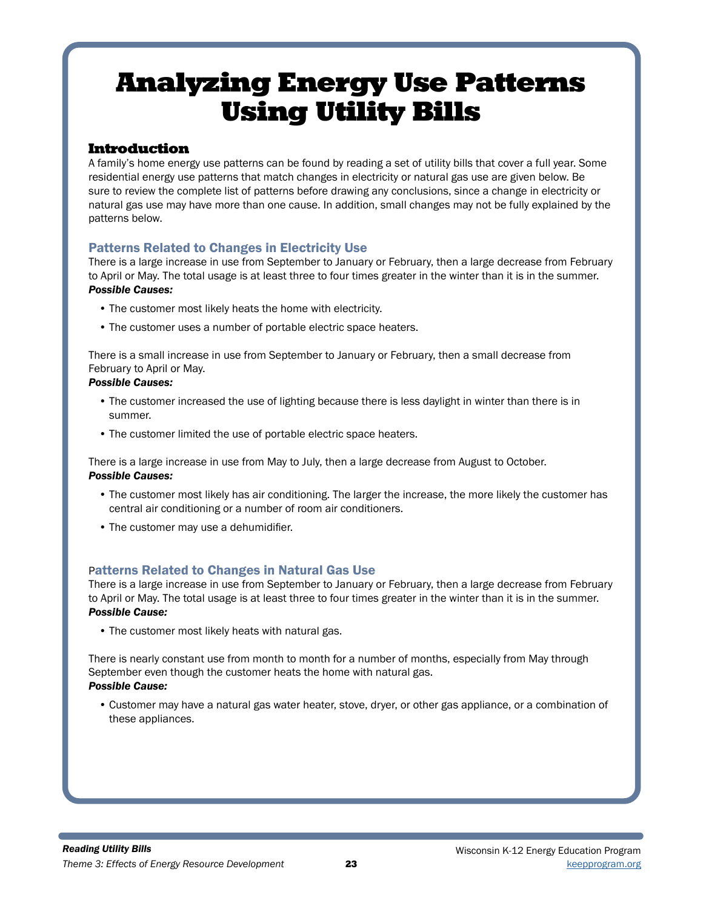## Analyzing Energy Use Patterns Using Utility Bills

### Introduction

A family's home energy use patterns can be found by reading a set of utility bills that cover a full year. Some residential energy use patterns that match changes in electricity or natural gas use are given below. Be sure to review the complete list of patterns before drawing any conclusions, since a change in electricity or natural gas use may have more than one cause. In addition, small changes may not be fully explained by the patterns below.

### Patterns Related to Changes in Electricity Use

There is a large increase in use from September to January or February, then a large decrease from February to April or May. The total usage is at least three to four times greater in the winter than it is in the summer. *Possible Causes:*

- The customer most likely heats the home with electricity.
- The customer uses a number of portable electric space heaters.

There is a small increase in use from September to January or February, then a small decrease from February to April or May.

#### *Possible Causes:*

- The customer increased the use of lighting because there is less daylight in winter than there is in summer.
- The customer limited the use of portable electric space heaters.

There is a large increase in use from May to July, then a large decrease from August to October. *Possible Causes:*

- The customer most likely has air conditioning. The larger the increase, the more likely the customer has central air conditioning or a number of room air conditioners.
- The customer may use a dehumidifier.

### Patterns Related to Changes in Natural Gas Use

There is a large increase in use from September to January or February, then a large decrease from February to April or May. The total usage is at least three to four times greater in the winter than it is in the summer. *Possible Cause:*

• The customer most likely heats with natural gas.

There is nearly constant use from month to month for a number of months, especially from May through September even though the customer heats the home with natural gas.

### *Possible Cause:*

• Customer may have a natural gas water heater, stove, dryer, or other gas appliance, or a combination of these appliances.